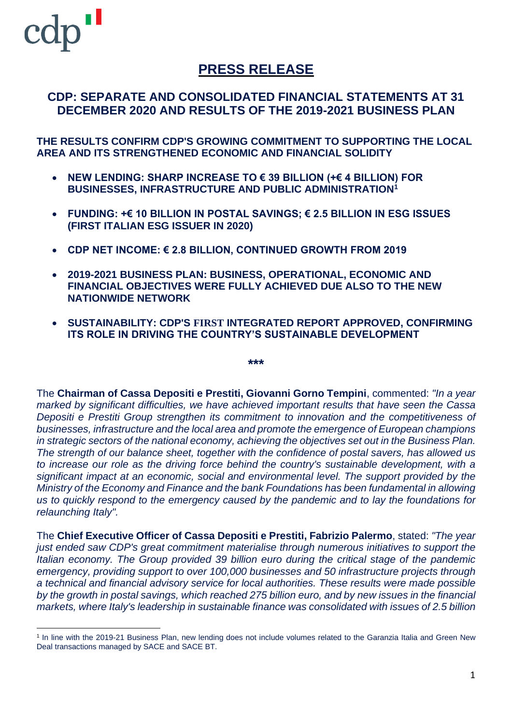# **PRESS RELEASE**

### **CDP: SEPARATE AND CONSOLIDATED FINANCIAL STATEMENTS AT 31 DECEMBER 2020 AND RESULTS OF THE 2019-2021 BUSINESS PLAN**

**THE RESULTS CONFIRM CDP'S GROWING COMMITMENT TO SUPPORTING THE LOCAL AREA AND ITS STRENGTHENED ECONOMIC AND FINANCIAL SOLIDITY**

- **NEW LENDING: SHARP INCREASE TO € 39 BILLION (+€ 4 BILLION) FOR BUSINESSES, INFRASTRUCTURE AND PUBLIC ADMINISTRATION<sup>1</sup>**
- **FUNDING: +€ 10 BILLION IN POSTAL SAVINGS; € 2.5 BILLION IN ESG ISSUES (FIRST ITALIAN ESG ISSUER IN 2020)**
- **CDP NET INCOME: € 2.8 BILLION, CONTINUED GROWTH FROM 2019**
- **2019-2021 BUSINESS PLAN: BUSINESS, OPERATIONAL, ECONOMIC AND FINANCIAL OBJECTIVES WERE FULLY ACHIEVED DUE ALSO TO THE NEW NATIONWIDE NETWORK**
- **SUSTAINABILITY: CDP'S FIRST INTEGRATED REPORT APPROVED, CONFIRMING ITS ROLE IN DRIVING THE COUNTRY'S SUSTAINABLE DEVELOPMENT**

**\*\*\***

The **Chairman of Cassa Depositi e Prestiti, Giovanni Gorno Tempini**, commented: *"In a year marked by significant difficulties, we have achieved important results that have seen the Cassa Depositi e Prestiti Group strengthen its commitment to innovation and the competitiveness of businesses, infrastructure and the local area and promote the emergence of European champions in strategic sectors of the national economy, achieving the objectives set out in the Business Plan. The strength of our balance sheet, together with the confidence of postal savers, has allowed us to increase our role as the driving force behind the country's sustainable development, with a significant impact at an economic, social and environmental level. The support provided by the Ministry of the Economy and Finance and the bank Foundations has been fundamental in allowing us to quickly respond to the emergency caused by the pandemic and to lay the foundations for relaunching Italy".*

The **Chief Executive Officer of Cassa Depositi e Prestiti, Fabrizio Palermo**, stated: *"The year just ended saw CDP's great commitment materialise through numerous initiatives to support the Italian economy. The Group provided 39 billion euro during the critical stage of the pandemic emergency, providing support to over 100,000 businesses and 50 infrastructure projects through a technical and financial advisory service for local authorities. These results were made possible* by the growth in postal savings, which reached 275 billion euro, and by new issues in the financial *markets, where Italy's leadership in sustainable finance was consolidated with issues of 2.5 billion*

<sup>1</sup> In line with the 2019-21 Business Plan, new lending does not include volumes related to the Garanzia Italia and Green New Deal transactions managed by SACE and SACE BT.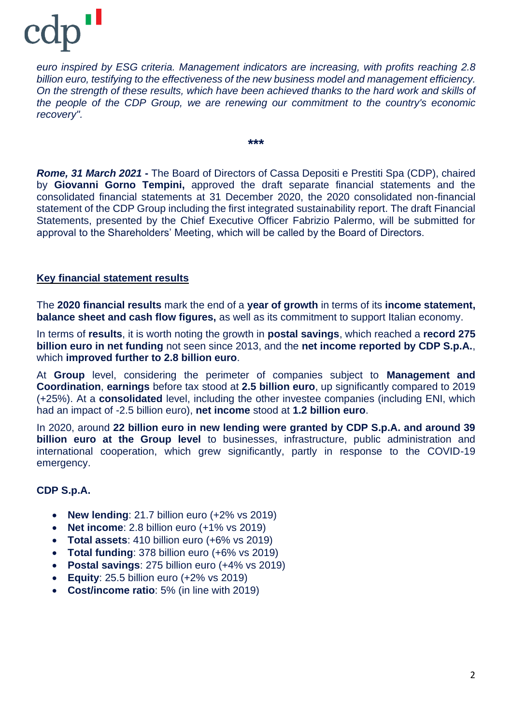# n I cdr

*euro inspired by ESG criteria. Management indicators are increasing, with profits reaching 2.8 billion euro, testifying to the effectiveness of the new business model and management efficiency. On the strength of these results, which have been achieved thanks to the hard work and skills of the people of the CDP Group, we are renewing our commitment to the country's economic recovery".*

**\*\*\***

*Rome, 31 March 2021* **-** The Board of Directors of Cassa Depositi e Prestiti Spa (CDP), chaired by **Giovanni Gorno Tempini,** approved the draft separate financial statements and the consolidated financial statements at 31 December 2020, the 2020 consolidated non-financial statement of the CDP Group including the first integrated sustainability report. The draft Financial Statements, presented by the Chief Executive Officer Fabrizio Palermo, will be submitted for approval to the Shareholders' Meeting, which will be called by the Board of Directors.

### **Key financial statement results**

The **2020 financial results** mark the end of a **year of growth** in terms of its **income statement, balance sheet and cash flow figures,** as well as its commitment to support Italian economy.

In terms of **results**, it is worth noting the growth in **postal savings**, which reached a **record 275 billion euro in net funding** not seen since 2013, and the **net income reported by CDP S.p.A.**, which **improved further to 2.8 billion euro**.

At **Group** level, considering the perimeter of companies subject to **Management and Coordination**, **earnings** before tax stood at **2.5 billion euro**, up significantly compared to 2019 (+25%). At a **consolidated** level, including the other investee companies (including ENI, which had an impact of -2.5 billion euro), **net income** stood at **1.2 billion euro**.

In 2020, around **22 billion euro in new lending were granted by CDP S.p.A. and around 39 billion euro at the Group level** to businesses, infrastructure, public administration and international cooperation, which grew significantly, partly in response to the COVID-19 emergency.

### **CDP S.p.A.**

- **New lending**: 21.7 billion euro (+2% vs 2019)
- **Net income**: 2.8 billion euro (+1% vs 2019)
- **Total assets**: 410 billion euro (+6% vs 2019)
- **Total funding**: 378 billion euro (+6% vs 2019)
- **Postal savings**: 275 billion euro (+4% vs 2019)
- **Equity**: 25.5 billion euro (+2% vs 2019)
- **Cost/income ratio**: 5% (in line with 2019)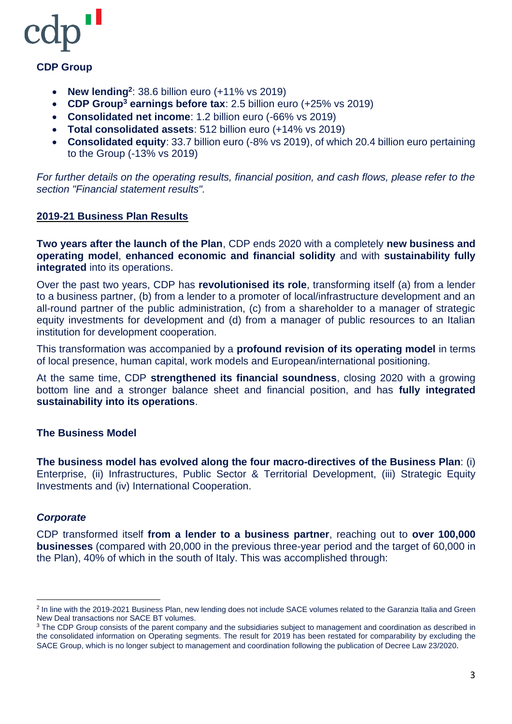

### **CDP Group**

- **New lending<sup>2</sup>** : 38.6 billion euro (+11% vs 2019)
- **CDP Group<sup>3</sup> earnings before tax**: 2.5 billion euro (+25% vs 2019)
- **Consolidated net income**: 1.2 billion euro (-66% vs 2019)
- **Total consolidated assets**: 512 billion euro (+14% vs 2019)
- **Consolidated equity**: 33.7 billion euro (-8% vs 2019), of which 20.4 billion euro pertaining to the Group (-13% vs 2019)

*For further details on the operating results, financial position, and cash flows, please refer to the section "Financial statement results".*

#### **2019-21 Business Plan Results**

**Two years after the launch of the Plan**, CDP ends 2020 with a completely **new business and operating model**, **enhanced economic and financial solidity** and with **sustainability fully integrated** into its operations.

Over the past two years, CDP has **revolutionised its role**, transforming itself (a) from a lender to a business partner, (b) from a lender to a promoter of local/infrastructure development and an all-round partner of the public administration, (c) from a shareholder to a manager of strategic equity investments for development and (d) from a manager of public resources to an Italian institution for development cooperation.

This transformation was accompanied by a **profound revision of its operating model** in terms of local presence, human capital, work models and European/international positioning.

At the same time, CDP **strengthened its financial soundness**, closing 2020 with a growing bottom line and a stronger balance sheet and financial position, and has **fully integrated sustainability into its operations**.

### **The Business Model**

**The business model has evolved along the four macro-directives of the Business Plan**: (i) Enterprise, (ii) Infrastructures, Public Sector & Territorial Development, (iii) Strategic Equity Investments and (iv) International Cooperation.

#### *Corporate*

CDP transformed itself **from a lender to a business partner**, reaching out to **over 100,000 businesses** (compared with 20,000 in the previous three-year period and the target of 60,000 in the Plan), 40% of which in the south of Italy. This was accomplished through:

<sup>&</sup>lt;sup>2</sup> In line with the 2019-2021 Business Plan, new lending does not include SACE volumes related to the Garanzia Italia and Green New Deal transactions nor SACE BT volumes.

<sup>&</sup>lt;sup>3</sup> The CDP Group consists of the parent company and the subsidiaries subject to management and coordination as described in the consolidated information on Operating segments. The result for 2019 has been restated for comparability by excluding the SACE Group, which is no longer subject to management and coordination following the publication of Decree Law 23/2020.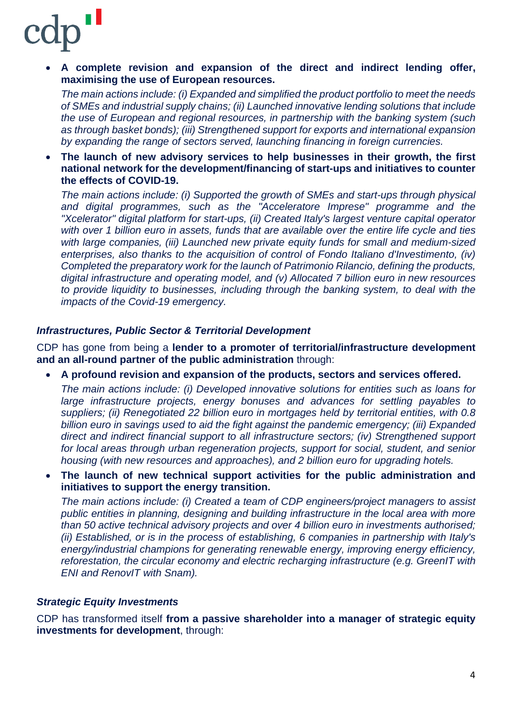• **A complete revision and expansion of the direct and indirect lending offer, maximising the use of European resources.**

*The main actions include: (i) Expanded and simplified the product portfolio to meet the needs of SMEs and industrial supply chains; (ii) Launched innovative lending solutions that include the use of European and regional resources, in partnership with the banking system (such as through basket bonds); (iii) Strengthened support for exports and international expansion by expanding the range of sectors served, launching financing in foreign currencies.*

• **The launch of new advisory services to help businesses in their growth, the first national network for the development/financing of start-ups and initiatives to counter the effects of COVID-19.**

*The main actions include: (i) Supported the growth of SMEs and start-ups through physical and digital programmes, such as the "Acceleratore Imprese" programme and the "Xcelerator" digital platform for start-ups, (ii) Created Italy's largest venture capital operator with over 1 billion euro in assets, funds that are available over the entire life cycle and ties with large companies, (iii) Launched new private equity funds for small and medium-sized enterprises, also thanks to the acquisition of control of Fondo Italiano d'Investimento, (iv) Completed the preparatory work for the launch of Patrimonio Rilancio, defining the products, digital infrastructure and operating model, and (v) Allocated 7 billion euro in new resources to provide liquidity to businesses, including through the banking system, to deal with the impacts of the Covid-19 emergency.*

### *Infrastructures, Public Sector & Territorial Development*

CDP has gone from being a **lender to a promoter of territorial/infrastructure development and an all-round partner of the public administration** through:

• **A profound revision and expansion of the products, sectors and services offered.**

*The main actions include: (i) Developed innovative solutions for entities such as loans for large infrastructure projects, energy bonuses and advances for settling payables to suppliers; (ii) Renegotiated 22 billion euro in mortgages held by territorial entities, with 0.8 billion euro in savings used to aid the fight against the pandemic emergency; (iii) Expanded direct and indirect financial support to all infrastructure sectors; (iv) Strengthened support for local areas through urban regeneration projects, support for social, student, and senior housing (with new resources and approaches), and 2 billion euro for upgrading hotels.*

• **The launch of new technical support activities for the public administration and initiatives to support the energy transition.**

*The main actions include: (i) Created a team of CDP engineers/project managers to assist public entities in planning, designing and building infrastructure in the local area with more than 50 active technical advisory projects and over 4 billion euro in investments authorised; (ii) Established, or is in the process of establishing, 6 companies in partnership with Italy's energy/industrial champions for generating renewable energy, improving energy efficiency, reforestation, the circular economy and electric recharging infrastructure (e.g. GreenIT with ENI and RenovIT with Snam).*

### *Strategic Equity Investments*

CDP has transformed itself **from a passive shareholder into a manager of strategic equity investments for development**, through: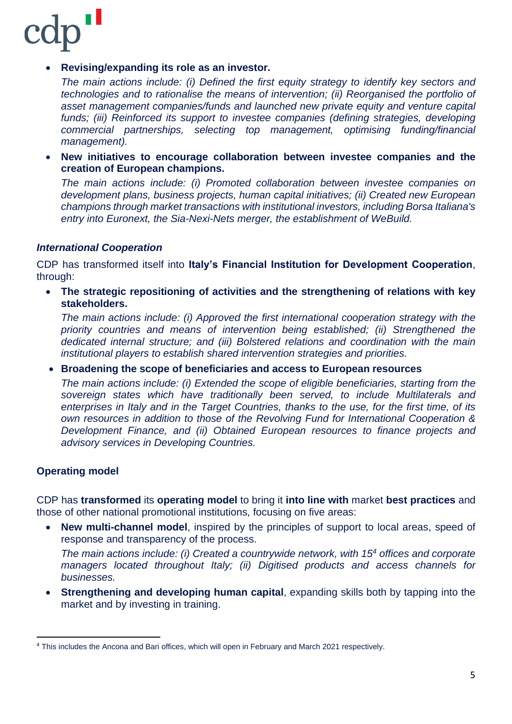

### • **Revising/expanding its role as an investor.**

*The main actions include: (i) Defined the first equity strategy to identify key sectors and technologies and to rationalise the means of intervention; (ii) Reorganised the portfolio of asset management companies/funds and launched new private equity and venture capital funds; (iii) Reinforced its support to investee companies (defining strategies, developing commercial partnerships, selecting top management, optimising funding/financial management).*

• **New initiatives to encourage collaboration between investee companies and the creation of European champions.**

*The main actions include: (i) Promoted collaboration between investee companies on development plans, business projects, human capital initiatives; (ii) Created new European champions through market transactions with institutional investors, including Borsa Italiana's entry into Euronext, the Sia-Nexi-Nets merger, the establishment of WeBuild.*

#### *International Cooperation*

CDP has transformed itself into **Italy's Financial Institution for Development Cooperation**, through:

• **The strategic repositioning of activities and the strengthening of relations with key stakeholders.**

*The main actions include: (i) Approved the first international cooperation strategy with the priority countries and means of intervention being established; (ii) Strengthened the dedicated internal structure; and (iii) Bolstered relations and coordination with the main institutional players to establish shared intervention strategies and priorities.*

• **Broadening the scope of beneficiaries and access to European resources**

*The main actions include: (i) Extended the scope of eligible beneficiaries, starting from the sovereign states which have traditionally been served, to include Multilaterals and enterprises in Italy and in the Target Countries, thanks to the use, for the first time, of its own resources in addition to those of the Revolving Fund for International Cooperation & Development Finance, and (ii) Obtained European resources to finance projects and advisory services in Developing Countries.*

### **Operating model**

CDP has **transformed** its **operating model** to bring it **into line with** market **best practices** and those of other national promotional institutions, focusing on five areas:

• **New multi-channel model**, inspired by the principles of support to local areas, speed of response and transparency of the process.

*The main actions include: (i) Created a countrywide network, with 15<sup>4</sup> offices and corporate managers located throughout Italy; (ii) Digitised products and access channels for businesses.*

• **Strengthening and developing human capital**, expanding skills both by tapping into the market and by investing in training.

<sup>4</sup> This includes the Ancona and Bari offices, which will open in February and March 2021 respectively.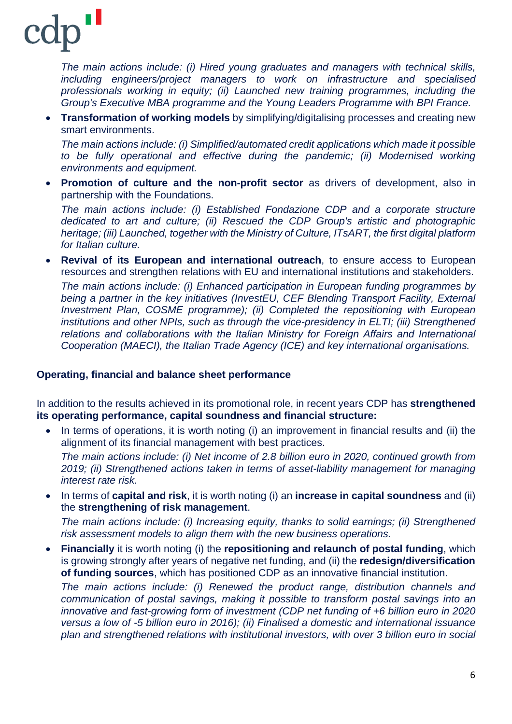*The main actions include: (i) Hired young graduates and managers with technical skills, including engineers/project managers to work on infrastructure and specialised professionals working in equity; (ii) Launched new training programmes, including the Group's Executive MBA programme and the Young Leaders Programme with BPI France.*

• **Transformation of working models** by simplifying/digitalising processes and creating new smart environments.

*The main actions include: (i) Simplified/automated credit applications which made it possible to be fully operational and effective during the pandemic; (ii) Modernised working environments and equipment.*

• **Promotion of culture and the non-profit sector** as drivers of development, also in partnership with the Foundations.

*The main actions include: (i) Established Fondazione CDP and a corporate structure dedicated to art and culture; (ii) Rescued the CDP Group's artistic and photographic heritage; (iii) Launched, together with the Ministry of Culture, ITsART, the first digital platform for Italian culture.*

• **Revival of its European and international outreach**, to ensure access to European resources and strengthen relations with EU and international institutions and stakeholders.

*The main actions include: (i) Enhanced participation in European funding programmes by being a partner in the key initiatives (InvestEU, CEF Blending Transport Facility, External Investment Plan, COSME programme); (ii) Completed the repositioning with European institutions and other NPIs, such as through the vice-presidency in ELTI; (iii) Strengthened relations and collaborations with the Italian Ministry for Foreign Affairs and International Cooperation (MAECI), the Italian Trade Agency (ICE) and key international organisations.*

### **Operating, financial and balance sheet performance**

In addition to the results achieved in its promotional role, in recent years CDP has **strengthened its operating performance, capital soundness and financial structure:**

• In terms of operations, it is worth noting (i) an improvement in financial results and (ii) the alignment of its financial management with best practices.

*The main actions include: (i) Net income of 2.8 billion euro in 2020, continued growth from 2019; (ii) Strengthened actions taken in terms of asset-liability management for managing interest rate risk.*

• In terms of **capital and risk**, it is worth noting (i) an **increase in capital soundness** and (ii) the **strengthening of risk management**.

*The main actions include: (i) Increasing equity, thanks to solid earnings; (ii) Strengthened risk assessment models to align them with the new business operations.*

• **Financially** it is worth noting (i) the **repositioning and relaunch of postal funding**, which is growing strongly after years of negative net funding, and (ii) the **redesign/diversification of funding sources**, which has positioned CDP as an innovative financial institution.

*The main actions include: (i) Renewed the product range, distribution channels and communication of postal savings, making it possible to transform postal savings into an innovative and fast-growing form of investment (CDP net funding of +6 billion euro in 2020 versus a low of -5 billion euro in 2016); (ii) Finalised a domestic and international issuance plan and strengthened relations with institutional investors, with over 3 billion euro in social*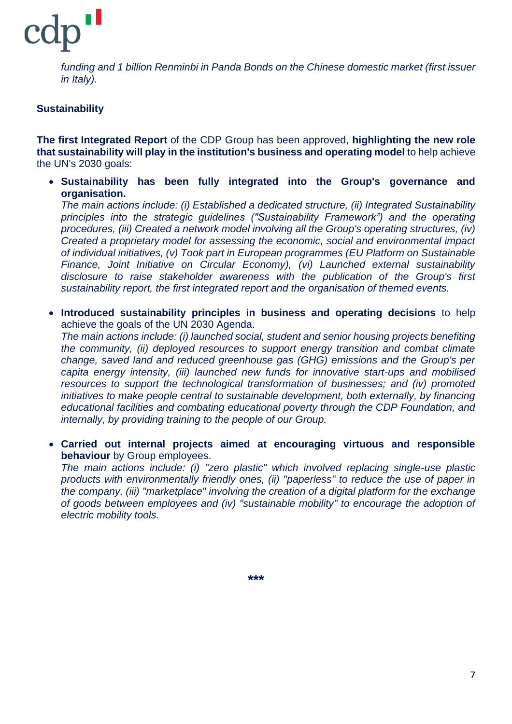

*funding and 1 billion Renminbi in Panda Bonds on the Chinese domestic market (first issuer in Italy).*

### **Sustainability**

**The first Integrated Report** of the CDP Group has been approved, **highlighting the new role that sustainability will play in the institution's business and operating model** to help achieve the UN's 2030 goals:

• **Sustainability has been fully integrated into the Group's governance and organisation.**

*The main actions include: (i) Established a dedicated structure, (ii) Integrated Sustainability principles into the strategic guidelines ("Sustainability Framework") and the operating procedures, (iii) Created a network model involving all the Group's operating structures, (iv) Created a proprietary model for assessing the economic, social and environmental impact of individual initiatives, (v) Took part in European programmes (EU Platform on Sustainable Finance, Joint Initiative on Circular Economy), (vi) Launched external sustainability disclosure to raise stakeholder awareness with the publication of the Group's first sustainability report, the first integrated report and the organisation of themed events.*

• **Introduced sustainability principles in business and operating decisions** to help achieve the goals of the UN 2030 Agenda.

*The main actions include: (i) launched social, student and senior housing projects benefiting the community, (ii) deployed resources to support energy transition and combat climate change, saved land and reduced greenhouse gas (GHG) emissions and the Group's per capita energy intensity, (iii) launched new funds for innovative start-ups and mobilised resources to support the technological transformation of businesses; and (iv) promoted initiatives to make people central to sustainable development, both externally, by financing educational facilities and combating educational poverty through the CDP Foundation, and internally, by providing training to the people of our Group.*

• **Carried out internal projects aimed at encouraging virtuous and responsible behaviour** by Group employees.

*The main actions include: (i) "zero plastic" which involved replacing single-use plastic products with environmentally friendly ones, (ii) "paperless" to reduce the use of paper in the company, (iii) "marketplace" involving the creation of a digital platform for the exchange of goods between employees and (iv) "sustainable mobility" to encourage the adoption of electric mobility tools.*

**\*\*\***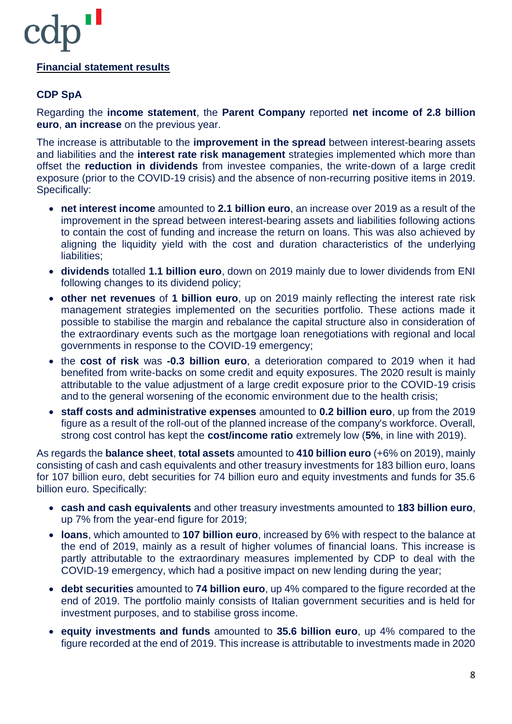### **Financial statement results**

### **CDP SpA**

Regarding the **income statement**, the **Parent Company** reported **net income of 2.8 billion euro**, **an increase** on the previous year.

The increase is attributable to the **improvement in the spread** between interest-bearing assets and liabilities and the **interest rate risk management** strategies implemented which more than offset the **reduction in dividends** from investee companies, the write-down of a large credit exposure (prior to the COVID-19 crisis) and the absence of non-recurring positive items in 2019. Specifically:

- **net interest income** amounted to **2.1 billion euro**, an increase over 2019 as a result of the improvement in the spread between interest-bearing assets and liabilities following actions to contain the cost of funding and increase the return on loans. This was also achieved by aligning the liquidity yield with the cost and duration characteristics of the underlying liabilities;
- **dividends** totalled **1.1 billion euro**, down on 2019 mainly due to lower dividends from ENI following changes to its dividend policy;
- **other net revenues** of **1 billion euro**, up on 2019 mainly reflecting the interest rate risk management strategies implemented on the securities portfolio. These actions made it possible to stabilise the margin and rebalance the capital structure also in consideration of the extraordinary events such as the mortgage loan renegotiations with regional and local governments in response to the COVID-19 emergency;
- the **cost of risk** was **-0.3 billion euro**, a deterioration compared to 2019 when it had benefited from write-backs on some credit and equity exposures. The 2020 result is mainly attributable to the value adjustment of a large credit exposure prior to the COVID-19 crisis and to the general worsening of the economic environment due to the health crisis;
- **staff costs and administrative expenses** amounted to **0.2 billion euro**, up from the 2019 figure as a result of the roll-out of the planned increase of the company's workforce. Overall, strong cost control has kept the **cost/income ratio** extremely low (**5%**, in line with 2019).

As regards the **balance sheet**, **total assets** amounted to **410 billion euro** (+6% on 2019), mainly consisting of cash and cash equivalents and other treasury investments for 183 billion euro, loans for 107 billion euro, debt securities for 74 billion euro and equity investments and funds for 35.6 billion euro. Specifically:

- **cash and cash equivalents** and other treasury investments amounted to **183 billion euro**, up 7% from the year-end figure for 2019;
- **loans**, which amounted to **107 billion euro**, increased by 6% with respect to the balance at the end of 2019, mainly as a result of higher volumes of financial loans. This increase is partly attributable to the extraordinary measures implemented by CDP to deal with the COVID-19 emergency, which had a positive impact on new lending during the year;
- **debt securities** amounted to **74 billion euro**, up 4% compared to the figure recorded at the end of 2019. The portfolio mainly consists of Italian government securities and is held for investment purposes, and to stabilise gross income.
- **equity investments and funds** amounted to **35.6 billion euro**, up 4% compared to the figure recorded at the end of 2019. This increase is attributable to investments made in 2020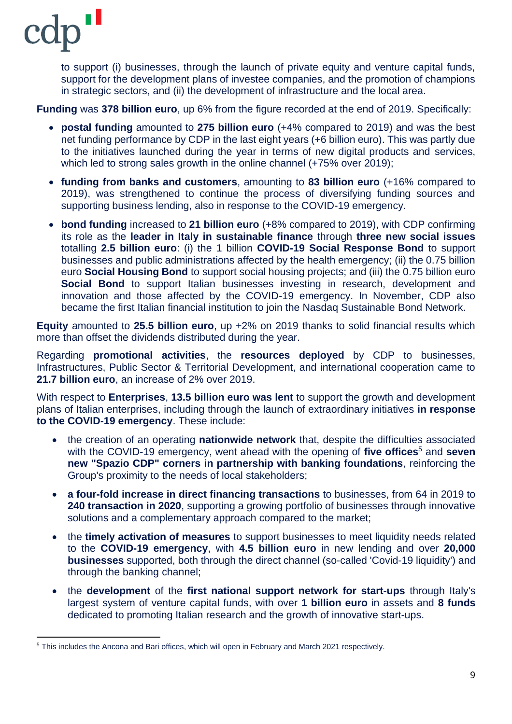to support (i) businesses, through the launch of private equity and venture capital funds, support for the development plans of investee companies, and the promotion of champions in strategic sectors, and (ii) the development of infrastructure and the local area.

**Funding** was **378 billion euro**, up 6% from the figure recorded at the end of 2019. Specifically:

- **postal funding** amounted to **275 billion euro** (+4% compared to 2019) and was the best net funding performance by CDP in the last eight years (+6 billion euro). This was partly due to the initiatives launched during the year in terms of new digital products and services, which led to strong sales growth in the online channel (+75% over 2019);
- **funding from banks and customers**, amounting to **83 billion euro** (+16% compared to 2019), was strengthened to continue the process of diversifying funding sources and supporting business lending, also in response to the COVID-19 emergency.
- **bond funding** increased to **21 billion euro** (+8% compared to 2019), with CDP confirming its role as the **leader in Italy in sustainable finance** through **three new social issues** totalling **2.5 billion euro**: (i) the 1 billion **COVID-19 Social Response Bond** to support businesses and public administrations affected by the health emergency; (ii) the 0.75 billion euro **Social Housing Bond** to support social housing projects; and (iii) the 0.75 billion euro **Social Bond** to support Italian businesses investing in research, development and innovation and those affected by the COVID-19 emergency. In November, CDP also became the first Italian financial institution to join the Nasdaq Sustainable Bond Network.

**Equity** amounted to **25.5 billion euro**, up +2% on 2019 thanks to solid financial results which more than offset the dividends distributed during the year.

Regarding **promotional activities**, the **resources deployed** by CDP to businesses, Infrastructures, Public Sector & Territorial Development, and international cooperation came to **21.7 billion euro**, an increase of 2% over 2019.

With respect to **Enterprises**, **13.5 billion euro was lent** to support the growth and development plans of Italian enterprises, including through the launch of extraordinary initiatives **in response to the COVID-19 emergency**. These include:

- the creation of an operating **nationwide network** that, despite the difficulties associated with the COVID-19 emergency, went ahead with the opening of **five offices**<sup>5</sup> and **seven new "Spazio CDP" corners in partnership with banking foundations**, reinforcing the Group's proximity to the needs of local stakeholders;
- **a four-fold increase in direct financing transactions** to businesses, from 64 in 2019 to **240 transaction in 2020**, supporting a growing portfolio of businesses through innovative solutions and a complementary approach compared to the market;
- the **timely activation of measures** to support businesses to meet liquidity needs related to the **COVID-19 emergency**, with **4.5 billion euro** in new lending and over **20,000 businesses** supported, both through the direct channel (so-called 'Covid-19 liquidity') and through the banking channel;
- the **development** of the **first national support network for start-ups** through Italy's largest system of venture capital funds, with over **1 billion euro** in assets and **8 funds** dedicated to promoting Italian research and the growth of innovative start-ups.

<sup>5</sup> This includes the Ancona and Bari offices, which will open in February and March 2021 respectively.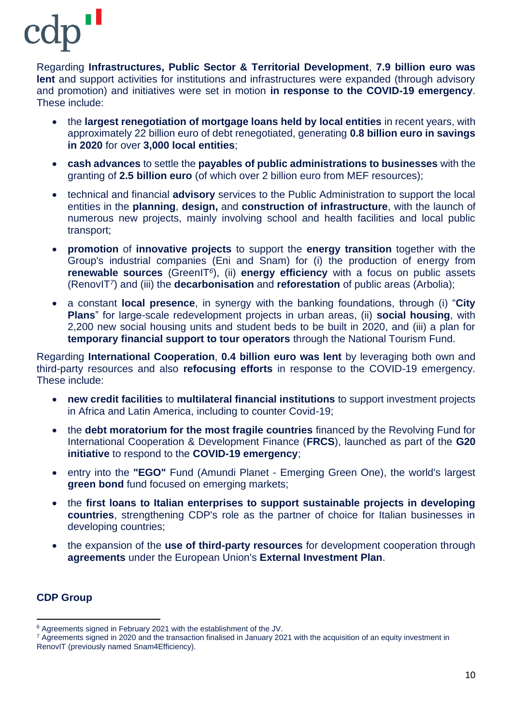Regarding **Infrastructures, Public Sector & Territorial Development**, **7.9 billion euro was lent** and support activities for institutions and infrastructures were expanded (through advisory and promotion) and initiatives were set in motion **in response to the COVID-19 emergency**. These include:

- the **largest renegotiation of mortgage loans held by local entities** in recent years, with approximately 22 billion euro of debt renegotiated, generating **0.8 billion euro in savings in 2020** for over **3,000 local entities**;
- **cash advances** to settle the **payables of public administrations to businesses** with the granting of **2.5 billion euro** (of which over 2 billion euro from MEF resources);
- technical and financial **advisory** services to the Public Administration to support the local entities in the **planning**, **design,** and **construction of infrastructure**, with the launch of numerous new projects, mainly involving school and health facilities and local public transport;
- **promotion** of **innovative projects** to support the **energy transition** together with the Group's industrial companies (Eni and Snam) for (i) the production of energy from **renewable sources** (GreenIT*<sup>6</sup>* ), (ii) **energy efficiency** with a focus on public assets (RenovIT*<sup>7</sup>* ) and (iii) the **decarbonisation** and **reforestation** of public areas (Arbolia);
- a constant **local presence**, in synergy with the banking foundations, through (i) "**City Plans**" for large-scale redevelopment projects in urban areas, (ii) **social housing**, with 2,200 new social housing units and student beds to be built in 2020, and (iii) a plan for **temporary financial support to tour operators** through the National Tourism Fund.

Regarding **International Cooperation**, **0.4 billion euro was lent** by leveraging both own and third-party resources and also **refocusing efforts** in response to the COVID-19 emergency. These include:

- **new credit facilities** to **multilateral financial institutions** to support investment projects in Africa and Latin America, including to counter Covid-19;
- the **debt moratorium for the most fragile countries** financed by the Revolving Fund for International Cooperation & Development Finance (**FRCS**), launched as part of the **G20 initiative** to respond to the **COVID-19 emergency**;
- entry into the **"EGO"** Fund (Amundi Planet Emerging Green One), the world's largest **green bond** fund focused on emerging markets;
- the **first loans to Italian enterprises to support sustainable projects in developing countries**, strengthening CDP's role as the partner of choice for Italian businesses in developing countries;
- the expansion of the **use of third-party resources** for development cooperation through **agreements** under the European Union's **External Investment Plan**.

### **CDP Group**

<sup>6</sup> Agreements signed in February 2021 with the establishment of the JV.

<sup>7</sup> Agreements signed in 2020 and the transaction finalised in January 2021 with the acquisition of an equity investment in RenovIT (previously named Snam4Efficiency).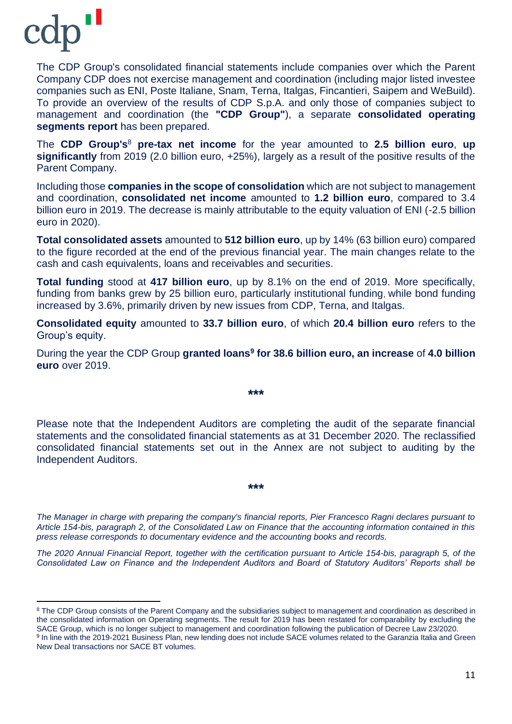

The CDP Group's consolidated financial statements include companies over which the Parent Company CDP does not exercise management and coordination (including major listed investee companies such as ENI, Poste Italiane, Snam, Terna, Italgas, Fincantieri, Saipem and WeBuild). To provide an overview of the results of CDP S.p.A. and only those of companies subject to management and coordination (the **"CDP Group"**), a separate **consolidated operating segments report** has been prepared.

The **CDP Group's**<sup>8</sup> **pre-tax net income** for the year amounted to **2.5 billion euro**, **up significantly** from 2019 (2.0 billion euro, +25%), largely as a result of the positive results of the Parent Company.

Including those **companies in the scope of consolidation** which are not subject to management and coordination, **consolidated net income** amounted to **1.2 billion euro**, compared to 3.4 billion euro in 2019. The decrease is mainly attributable to the equity valuation of ENI (-2.5 billion euro in 2020).

**Total consolidated assets** amounted to **512 billion euro**, up by 14% (63 billion euro) compared to the figure recorded at the end of the previous financial year. The main changes relate to the cash and cash equivalents, loans and receivables and securities.

**Total funding** stood at **417 billion euro**, up by 8.1% on the end of 2019. More specifically, funding from banks grew by 25 billion euro, particularly institutional funding, while bond funding increased by 3.6%, primarily driven by new issues from CDP, Terna, and Italgas.

**Consolidated equity** amounted to **33.7 billion euro**, of which **20.4 billion euro** refers to the Group's equity.

During the year the CDP Group **granted loans<sup>9</sup> for 38.6 billion euro, an increase** of **4.0 billion euro** over 2019.

**\*\*\***

Please note that the Independent Auditors are completing the audit of the separate financial statements and the consolidated financial statements as at 31 December 2020. The reclassified consolidated financial statements set out in the Annex are not subject to auditing by the Independent Auditors.

**\*\*\***

*The Manager in charge with preparing the company's financial reports, Pier Francesco Ragni declares pursuant to Article 154-bis, paragraph 2, of the Consolidated Law on Finance that the accounting information contained in this press release corresponds to documentary evidence and the accounting books and records.*

*The 2020 Annual Financial Report, together with the certification pursuant to Article 154-bis, paragraph 5, of the Consolidated Law on Finance and the Independent Auditors and Board of Statutory Auditors' Reports shall be* 

<sup>&</sup>lt;sup>8</sup> The CDP Group consists of the Parent Company and the subsidiaries subject to management and coordination as described in the consolidated information on Operating segments. The result for 2019 has been restated for comparability by excluding the SACE Group, which is no longer subject to management and coordination following the publication of Decree Law 23/2020. <sup>9</sup> In line with the 2019-2021 Business Plan, new lending does not include SACE volumes related to the Garanzia Italia and Green New Deal transactions nor SACE BT volumes.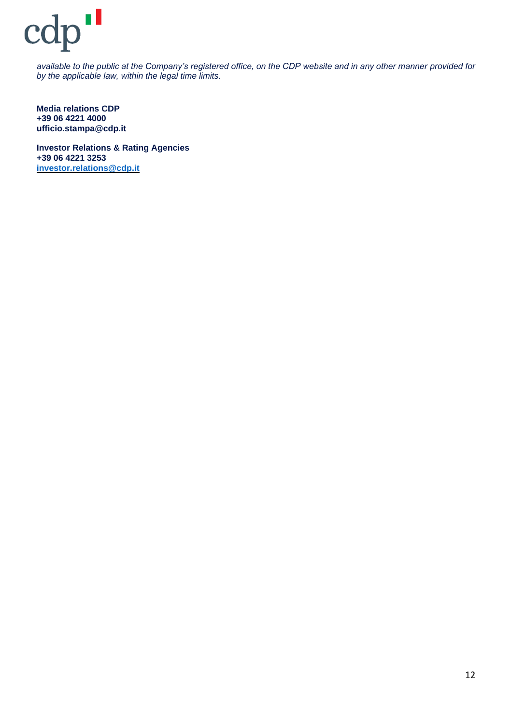*available to the public at the Company's registered office, on the CDP website and in any other manner provided for by the applicable law, within the legal time limits.*

**Media relations CDP +39 06 4221 4000 ufficio.stampa@cdp.it**

**Investor Relations & Rating Agencies +39 06 4221 3253 [investor.relations@cdp.it](mailto:investor.relations@cdp.it)**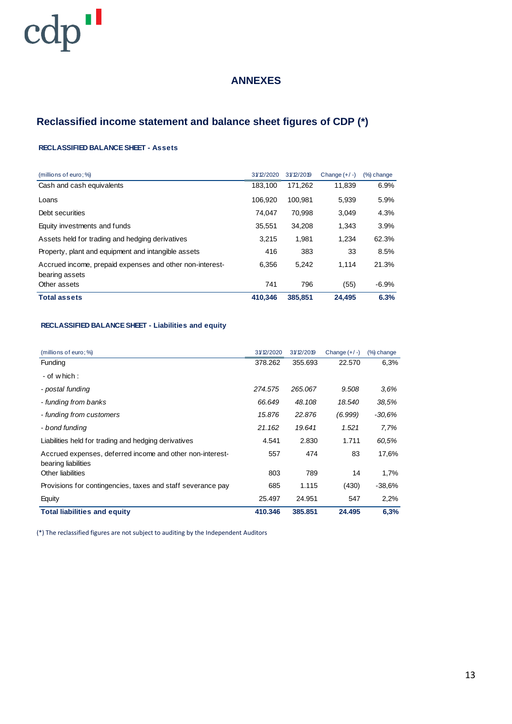### **ANNEXES**

# **Reclassified income statement and balance sheet figures of CDP (\*)**

#### **RECLASSIFIED BALANCE SHEET - Assets**

| (millions of euro; %)                                                      | 31/12/2020 | 31/12/2019 | Change $(+/-)$ | (%) change |
|----------------------------------------------------------------------------|------------|------------|----------------|------------|
| Cash and cash equivalents                                                  | 183.100    | 171.262    | 11.839         | 6.9%       |
| Loans                                                                      | 106.920    | 100.981    | 5.939          | 5.9%       |
| Debt securities                                                            | 74.047     | 70.998     | 3.049          | 4.3%       |
| Equity investments and funds                                               | 35,551     | 34,208     | 1,343          | 3.9%       |
| Assets held for trading and hedging derivatives                            | 3.215      | 1.981      | 1.234          | 62.3%      |
| Property, plant and equipment and intangible assets                        | 416        | 383        | 33             | 8.5%       |
| Accrued income, prepaid expenses and other non-interest-<br>bearing assets | 6,356      | 5.242      | 1.114          | 21.3%      |
| Other assets                                                               | 741        | 796        | (55)           | $-6.9%$    |
| <b>Total assets</b>                                                        | 410.346    | 385,851    | 24.495         | 6.3%       |

#### **RECLASSIFIED BALANCE SHEET - Liabilities and equity**

| (millions of euro; %)                                                            | 31/12/2020 | 31/12/2019 | Change $(+/-)$ | $(%)$ change |
|----------------------------------------------------------------------------------|------------|------------|----------------|--------------|
| Funding                                                                          | 378.262    | 355.693    | 22.570         | 6.3%         |
| - of which :                                                                     |            |            |                |              |
| - postal funding                                                                 | 274.575    | 265.067    | 9.508          | $3.6\%$      |
| - funding from banks                                                             | 66.649     | 48.108     | 18.540         | 38.5%        |
| - funding from customers                                                         | 15,876     | 22.876     | (6.999)        | -30,6%       |
| - bond funding                                                                   | 21.162     | 19.641     | 1.521          | 7,7%         |
| Liabilities held for trading and hedging derivatives                             | 4.541      | 2.830      | 1.711          | 60.5%        |
| Accrued expenses, deferred income and other non-interest-<br>bearing liabilities | 557        | 474        | 83             | 17,6%        |
| Other liabilities                                                                | 803        | 789        | 14             | 1,7%         |
| Provisions for contingencies, taxes and staff severance pay                      | 685        | 1.115      | (430)          | $-38.6%$     |
| Equity                                                                           | 25.497     | 24.951     | 547            | 2,2%         |
| <b>Total liabilities and equity</b>                                              | 410.346    | 385,851    | 24.495         | 6,3%         |

(\*) The reclassified figures are not subject to auditing by the Independent Auditors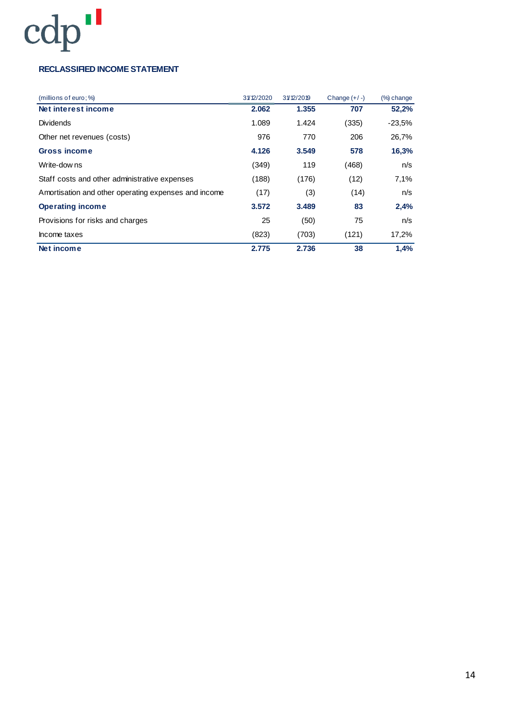### **RECLASSIFIED INCOME STATEMENT**

| (millions of euro; %                                 | 31/12/2020 | 31/12/2019 | Change $(+/-)$ | $%$ ) change |
|------------------------------------------------------|------------|------------|----------------|--------------|
| Net interest income                                  | 2.062      | 1.355      | 707            | 52,2%        |
| Dividends                                            | 1.089      | 1.424      | (335)          | $-23.5%$     |
| Other net revenues (costs)                           | 976        | 770        | 206            | 26,7%        |
| <b>Gross income</b>                                  | 4.126      | 3.549      | 578            | 16,3%        |
| Write-dow ns                                         | (349)      | 119        | (468)          | n/s          |
| Staff costs and other administrative expenses        | (188)      | (176)      | (12)           | 7,1%         |
| Amortisation and other operating expenses and income | (17)       | (3)        | (14)           | n/s          |
| <b>Operating income</b>                              | 3.572      | 3.489      | 83             | 2,4%         |
| Provisions for risks and charges                     | 25         | (50)       | 75             | n/s          |
| Income taxes                                         | (823)      | (703)      | (121)          | 17,2%        |
| Net income                                           | 2.775      | 2.736      | 38             | 1,4%         |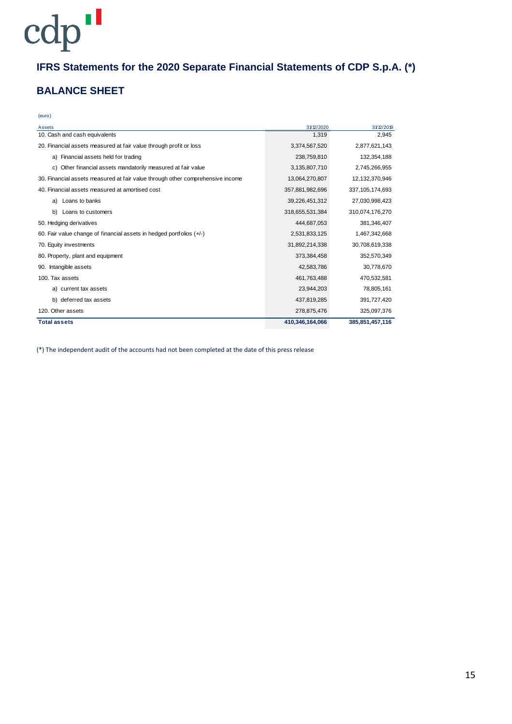# **IFRS Statements for the 2020 Separate Financial Statements of CDP S.p.A. (\*)**

### **BALANCE SHEET**

| ٠<br>u, | t |
|---------|---|

| Assets                                                                         | 31/12/2020      | 31/12/2019      |
|--------------------------------------------------------------------------------|-----------------|-----------------|
| 10. Cash and cash equivalents                                                  | 1,319           | 2,945           |
| 20. Financial assets measured at fair value through profit or loss             | 3,374,567,520   | 2,877,621,143   |
| a) Financial assets held for trading                                           | 238,759,810     | 132,354,188     |
| c) Other financial assets mandatorily measured at fair value                   | 3,135,807,710   | 2,745,266,955   |
| 30. Financial assets measured at fair value through other comprehensive income | 13,064,270,807  | 12,132,370,946  |
| 40. Financial assets measured at amortised cost                                | 357,881,982,696 | 337,105,174,693 |
| Loans to banks<br>a)                                                           | 39,226,451,312  | 27,030,998,423  |
| b)<br>Loans to customers                                                       | 318,655,531,384 | 310,074,176,270 |
| 50. Hedging derivatives                                                        | 444,687,053     | 381,346,407     |
| 60. Fair value change of financial assets in hedged portfolios $(+/-)$         | 2,531,833,125   | 1,467,342,668   |
| 70. Equity investments                                                         | 31,892,214,338  | 30,708,619,338  |
| 80. Property, plant and equipment                                              | 373,384,458     | 352,570,349     |
| Intangible assets<br>90.                                                       | 42,583,786      | 30,778,670      |
| 100. Tax assets                                                                | 461,763,488     | 470,532,581     |
| a) current tax assets                                                          | 23,944,203      | 78,805,161      |
| b) deferred tax assets                                                         | 437,819,285     | 391,727,420     |
| 120. Other assets                                                              | 278,875,476     | 325,097,376     |
| <b>Total assets</b>                                                            | 410,346,164,066 | 385,851,457,116 |

(\*) The independent audit of the accounts had not been completed at the date of this press release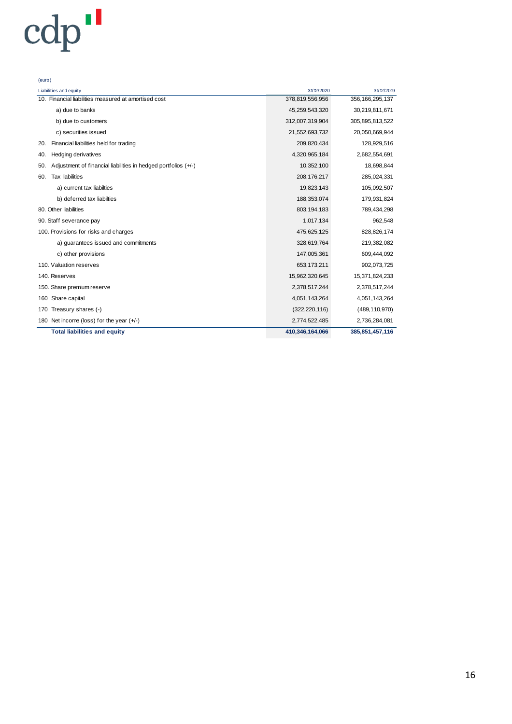| (euro)                                                                |                 |                    |
|-----------------------------------------------------------------------|-----------------|--------------------|
| Liabilities and equity                                                | 31/12/2020      | 31/12/2019         |
| 10. Financial liabilities measured at amortised cost                  | 378,819,556,956 | 356, 166, 295, 137 |
| a) due to banks                                                       | 45,259,543,320  | 30,219,811,671     |
| b) due to customers                                                   | 312,007,319,904 | 305,895,813,522    |
| c) securities issued                                                  | 21,552,693,732  | 20,050,669,944     |
| Financial liabilities held for trading<br>20.                         | 209,820,434     | 128,929,516        |
| <b>Hedging derivatives</b><br>40.                                     | 4,320,965,184   | 2,682,554,691      |
| Adjustment of financial liabilities in hedged portfolios (+/-)<br>50. | 10,352,100      | 18,698,844         |
| <b>Tax liabilities</b><br>60.                                         | 208,176,217     | 285,024,331        |
| a) current tax liabilties                                             | 19,823,143      | 105,092,507        |
| b) deferred tax liabilties                                            | 188,353,074     | 179,931,824        |
| 80. Other liabilities                                                 | 803,194,183     | 789,434,298        |
| 90. Staff severance pay                                               | 1,017,134       | 962,548            |
| 100. Provisions for risks and charges                                 | 475,625,125     | 828,826,174        |
| a) guarantees issued and commitments                                  | 328,619,764     | 219,382,082        |
| c) other provisions                                                   | 147,005,361     | 609,444,092        |
| 110. Valuation reserves                                               | 653,173,211     | 902,073,725        |
| 140. Reserves                                                         | 15,962,320,645  | 15,371,824,233     |
| 150. Share premium reserve                                            | 2,378,517,244   | 2,378,517,244      |
| Share capital<br>160                                                  | 4,051,143,264   | 4,051,143,264      |
| Treasury shares (-)<br>170                                            | (322, 220, 116) | (489, 110, 970)    |
| 180 Net income (loss) for the year $(+/-)$                            | 2,774,522,485   | 2,736,284,081      |
| <b>Total liabilities and equity</b>                                   | 410,346,164,066 | 385,851,457,116    |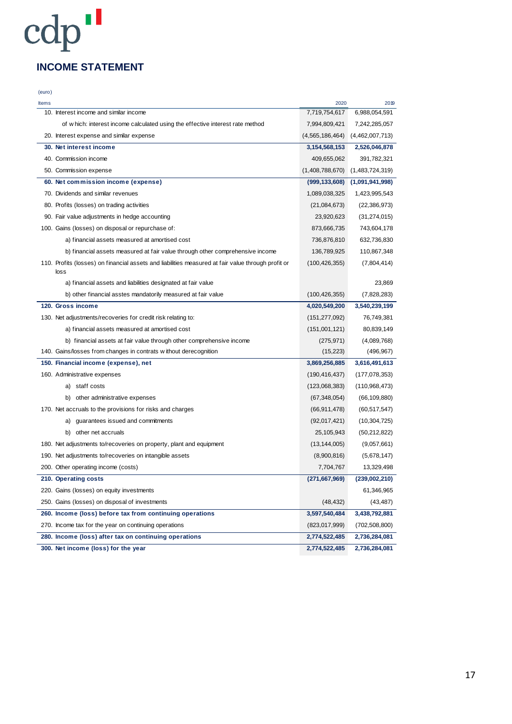## **INCOME STATEMENT**

cdp"

| (euro) |                                                                                                            |                    |                 |
|--------|------------------------------------------------------------------------------------------------------------|--------------------|-----------------|
| Items  |                                                                                                            | 2020               | 2019            |
|        | 10. Interest income and similar income                                                                     | 7,719,754,617      | 6,988,054,591   |
|        | of which: interest income calculated using the effective interest rate method                              | 7,994,809,421      | 7,242,285,057   |
|        | 20. Interest expense and similar expense                                                                   | (4, 565, 186, 464) | (4,462,007,713) |
|        | 30. Net interest income                                                                                    | 3,154,568,153      | 2,526,046,878   |
|        | 40. Commission income                                                                                      | 409,655,062        | 391,782,321     |
|        | 50. Commission expense                                                                                     | (1,408,788,670)    | (1,483,724,319) |
|        | 60. Net commission income (expense)                                                                        | (999, 133, 608)    | (1,091,941,998) |
|        | 70. Dividends and similar revenues                                                                         | 1,089,038,325      | 1,423,995,543   |
|        | 80. Profits (losses) on trading activities                                                                 | (21,084,673)       | (22, 386, 973)  |
|        | 90. Fair value adjustments in hedge accounting                                                             | 23,920,623         | (31, 274, 015)  |
|        | 100. Gains (losses) on disposal or repurchase of:                                                          | 873,666,735        | 743,604,178     |
|        | a) financial assets measured at amortised cost                                                             | 736,876,810        | 632,736,830     |
|        | b) financial assets measured at fair value through other comprehensive income                              | 136,789,925        | 110,867,348     |
|        | 110. Profits (losses) on financial assets and liabilities measured at fair value through profit or<br>loss | (100, 426, 355)    | (7,804,414)     |
|        | a) financial assets and liabilities designated at fair value                                               |                    | 23,869          |
|        | b) other financial asstes mandatorily measured at fair value                                               | (100, 426, 355)    | (7,828,283)     |
|        | 120. Gross income                                                                                          | 4,020,549,200      | 3,540,239,199   |
|        | 130. Net adjustments/recoveries for credit risk relating to:                                               | (151, 277, 092)    | 76,749,381      |
|        | a) financial assets measured at amortised cost                                                             | (151,001,121)      | 80,839,149      |
|        | b) financial assets at fair value through other comprehensive income                                       | (275, 971)         | (4,089,768)     |
|        | 140. Gains/losses from changes in contrats without derecognition                                           | (15, 223)          | (496, 967)      |
|        | 150. Financial income (expense), net                                                                       | 3,869,256,885      | 3,616,491,613   |
|        | 160. Administrative expenses                                                                               | (190, 416, 437)    | (177, 078, 353) |
|        | a) staff costs                                                                                             | (123,068,383)      | (110,968,473)   |
|        | b) other administrative expenses                                                                           | (67, 348, 054)     | (66, 109, 880)  |
|        | 170. Net accruals to the provisions for risks and charges                                                  | (66, 911, 478)     | (60, 517, 547)  |
|        | a) guarantees issued and commitments                                                                       | (92,017,421)       | (10, 304, 725)  |
|        | b) other net accruals                                                                                      | 25,105,943         | (50, 212, 822)  |
|        | 180. Net adjustments to/recoveries on property, plant and equipment                                        | (13, 144, 005)     | (9,057,661)     |
|        | 190. Net adjustments to/recoveries on intangible assets                                                    | (8,900,816)        | (5,678,147)     |
|        | 200. Other operating income (costs)                                                                        | 7,704,767          | 13,329,498      |
|        | 210. Operating costs                                                                                       | (271, 667, 969)    | (239,002,210)   |
|        | 220. Gains (losses) on equity investments                                                                  |                    | 61,346,965      |
|        | 250. Gains (losses) on disposal of investments                                                             | (48, 432)          | (43, 487)       |
|        | 260. Income (loss) before tax from continuing operations                                                   | 3,597,540,484      | 3,438,792,881   |
|        | 270. Income tax for the year on continuing operations                                                      | (823, 017, 999)    | (702, 508, 800) |
|        | 280. Income (loss) after tax on continuing operations                                                      | 2,774,522,485      | 2,736,284,081   |
|        | 300. Net income (loss) for the year                                                                        | 2,774,522,485      | 2,736,284,081   |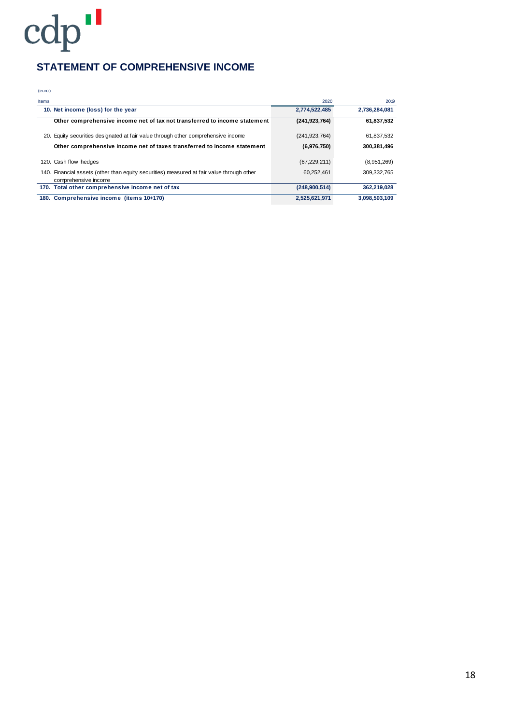## **STATEMENT OF COMPREHENSIVE INCOME**

(euro)

| <b>Items</b> |                                                                                                                   | 2020            | 2019          |
|--------------|-------------------------------------------------------------------------------------------------------------------|-----------------|---------------|
|              | 10. Net income (loss) for the year                                                                                | 2,774,522,485   | 2,736,284,081 |
|              | Other comprehensive income net of tax not transferred to income statement                                         | (241, 923, 764) | 61,837,532    |
| 20.          | Equity securities designated at fair value through other comprehensive income                                     | (241, 923, 764) | 61,837,532    |
|              | Other comprehensive income net of taxes transferred to income statement                                           | (6,976,750)     | 300,381,496   |
|              | 120. Cash flow hedges                                                                                             | (67, 229, 211)  | (8,951,269)   |
|              | 140. Financial assets (other than equity securities) measured at fair value through other<br>comprehensive income | 60.252.461      | 309.332.765   |
|              | 170. Total other comprehensive income net of tax                                                                  | (248,900,514)   | 362,219,028   |
|              | 180. Comprehensive income (items 10+170)                                                                          | 2,525,621,971   | 3.098.503.109 |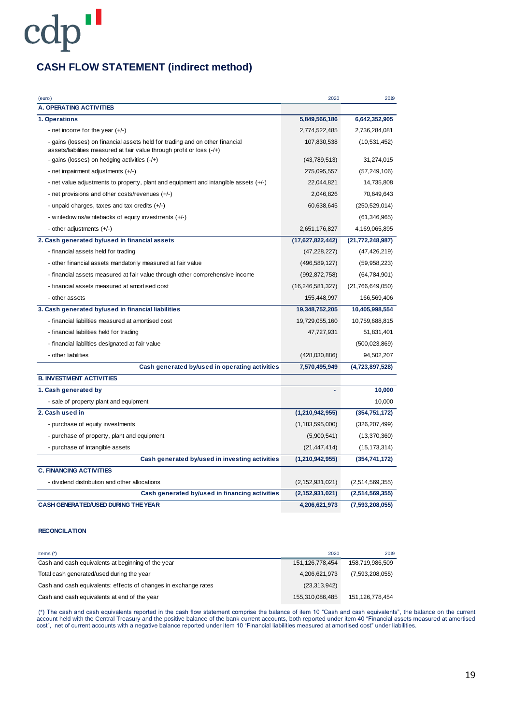## **CASH FLOW STATEMENT (indirect method)**

| (euro)                                                                                                                                                   | 2020                | 2019                |
|----------------------------------------------------------------------------------------------------------------------------------------------------------|---------------------|---------------------|
| <b>A. OPERATING ACTIVITIES</b>                                                                                                                           |                     |                     |
| 1. Operations                                                                                                                                            | 5,849,566,186       | 6,642,352,905       |
| - net income for the year $(+/-)$                                                                                                                        | 2,774,522,485       | 2,736,284,081       |
| - gains (losses) on financial assets held for trading and on other financial<br>assets/liabilities measured at fair value through profit or loss $(-/+)$ | 107,830,538         | (10, 531, 452)      |
| - gains (losses) on hedging activities $(-/+)$                                                                                                           | (43,789,513)        | 31,274,015          |
| - net impairment adjustments (+/-)                                                                                                                       | 275,095,557         | (57, 249, 106)      |
| - net value adjustments to property, plant and equipment and intangible assets $(+/-)$                                                                   | 22,044,821          | 14,735,808          |
| - net provisions and other costs/revenues (+/-)                                                                                                          | 2,046,826           | 70,649,643          |
| - unpaid charges, taxes and tax credits (+/-)                                                                                                            | 60,638,645          | (250, 529, 014)     |
| - w ritedow ns/w ritebacks of equity investments (+/-)                                                                                                   |                     | (61, 346, 965)      |
| - other adjustments (+/-)                                                                                                                                | 2,651,176,827       | 4,169,065,895       |
| 2. Cash generated by/used in financial assets                                                                                                            | (17,627,822,442)    | (21, 772, 248, 987) |
| - financial assets held for trading                                                                                                                      | (47, 228, 227)      | (47, 426, 219)      |
| - other financial assets mandatorily measured at fair value                                                                                              | (496, 589, 127)     | (59,958,223)        |
| - financial assets measured at fair value through other comprehensive income                                                                             | (992, 872, 758)     | (64, 784, 901)      |
| - financial assets measured at amortised cost                                                                                                            | (16, 246, 581, 327) | (21,766,649,050)    |
| - other assets                                                                                                                                           | 155,448,997         | 166,569,406         |
| 3. Cash generated by/used in financial liabilities                                                                                                       | 19,348,752,205      | 10,405,998,554      |
| - financial liabilities measured at amortised cost                                                                                                       | 19,729,055,160      | 10,759,688,815      |
| - financial liabilities held for trading                                                                                                                 | 47,727,931          | 51,831,401          |
| - financial liabilities designated at fair value                                                                                                         |                     | (500, 023, 869)     |
| - other liabilities                                                                                                                                      | (428,030,886)       | 94,502,207          |
| Cash generated by/used in operating activities                                                                                                           | 7,570,495,949       | (4,723,897,528)     |
| <b>B. INVESTMENT ACTIVITIES</b>                                                                                                                          |                     |                     |
| 1. Cash generated by                                                                                                                                     |                     | 10,000              |
| - sale of property plant and equipment                                                                                                                   |                     | 10,000              |
| 2. Cash used in                                                                                                                                          | (1,210,942,955)     | (354, 751, 172)     |
| - purchase of equity investments                                                                                                                         | (1, 183, 595, 000)  | (326, 207, 499)     |
| - purchase of property, plant and equipment                                                                                                              | (5,900,541)         | (13,370,360)        |
| - purchase of intangible assets                                                                                                                          | (21, 447, 414)      | (15, 173, 314)      |
| Cash generated by/used in investing activities                                                                                                           | (1,210,942,955)     | (354, 741, 172)     |
| <b>C. FINANCING ACTIVITIES</b>                                                                                                                           |                     |                     |
| - dividend distribution and other allocations                                                                                                            | (2, 152, 931, 021)  | (2,514,569,355)     |
| Cash generated by/used in financing activities                                                                                                           | (2, 152, 931, 021)  | (2,514,569,355)     |
| <b>CASH GENERATED/USED DURING THE YEAR</b>                                                                                                               | 4,206,621,973       | (7,593,208,055)     |

#### **RECONCILATION**

| Items $(*)$                                                     | 2020            | 2019            |
|-----------------------------------------------------------------|-----------------|-----------------|
| Cash and cash equivalents at beginning of the year              | 151,126,778,454 | 158,719,986,509 |
| Total cash generated/used during the year                       | 4,206,621,973   | (7,593,208,055) |
| Cash and cash equivalents: effects of changes in exchange rates | (23, 313, 942)  |                 |
| Cash and cash equivalents at end of the year                    | 155,310,086,485 | 151,126,778,454 |

(\*) The cash and cash equivalents reported in the cash flow statement comprise the balance of item 10 "Cash and cash equivalents", the balance on the current account held with the Central Treasury and the positive balance of the bank current accounts, both reported under item 40 "Financial assets measured at amortised cost", net of current accounts with a negative balance reported under item 10 "Financial liabilities measured at amortised cost" under liabilities.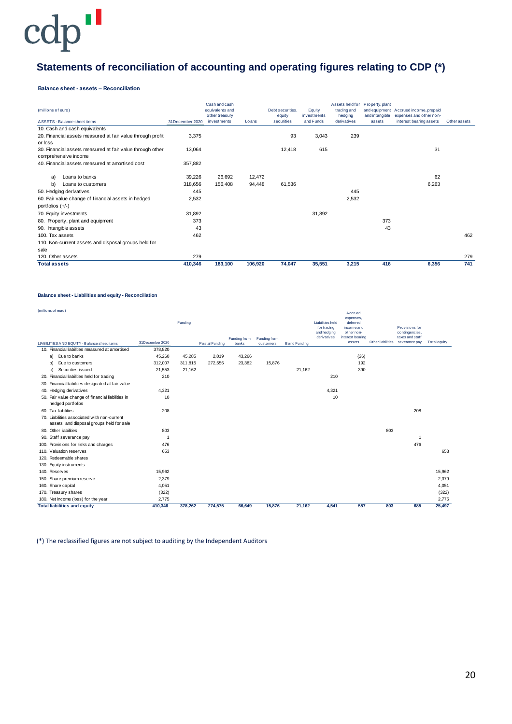# **Statements of reconciliation of accounting and operating figures relating to CDP (\*)**

#### **Balance sheet - assets – Reconciliation**

| (millions of euro)<br>ASSETS - Balance sheet items         | 31December 2020 | Cash and cash<br>equivalents and<br>other treasury<br>investments | Loans   | Debt securities.<br>equity<br>securities | Equity<br>investments<br>and Funds | trading and<br>hedging<br>derivatives | Assets held for Property, plant<br>and intangible<br>assets | and equipment Accrued income, prepaid<br>expenses and other non-<br>interest bearing assets<br>Other assets |     |
|------------------------------------------------------------|-----------------|-------------------------------------------------------------------|---------|------------------------------------------|------------------------------------|---------------------------------------|-------------------------------------------------------------|-------------------------------------------------------------------------------------------------------------|-----|
| 10. Cash and cash equivalents                              |                 |                                                                   |         |                                          |                                    |                                       |                                                             |                                                                                                             |     |
| 20. Financial assets measured at fair value through profit | 3,375           |                                                                   |         | 93                                       | 3,043                              | 239                                   |                                                             |                                                                                                             |     |
| or loss                                                    |                 |                                                                   |         |                                          |                                    |                                       |                                                             |                                                                                                             |     |
| 30. Financial assets measured at fair value through other  | 13,064          |                                                                   |         | 12,418                                   | 615                                |                                       |                                                             | 31                                                                                                          |     |
| comprehensive income                                       |                 |                                                                   |         |                                          |                                    |                                       |                                                             |                                                                                                             |     |
| 40. Financial assets measured at amortised cost            | 357,882         |                                                                   |         |                                          |                                    |                                       |                                                             |                                                                                                             |     |
|                                                            |                 |                                                                   |         |                                          |                                    |                                       |                                                             |                                                                                                             |     |
| Loans to banks<br>a)                                       | 39,226          | 26,692                                                            | 12,472  |                                          |                                    |                                       |                                                             | 62                                                                                                          |     |
| b)<br>Loans to customers                                   | 318,656         | 156,408                                                           | 94,448  | 61,536                                   |                                    |                                       |                                                             | 6,263                                                                                                       |     |
| 50. Hedging derivatives                                    | 445             |                                                                   |         |                                          |                                    | 445                                   |                                                             |                                                                                                             |     |
| 60. Fair value change of financial assets in hedged        | 2,532           |                                                                   |         |                                          |                                    | 2,532                                 |                                                             |                                                                                                             |     |
| portfolios $(+/-)$                                         |                 |                                                                   |         |                                          |                                    |                                       |                                                             |                                                                                                             |     |
| 70. Equity investments                                     | 31,892          |                                                                   |         |                                          | 31,892                             |                                       |                                                             |                                                                                                             |     |
| 80. Property, plant and equipment                          | 373             |                                                                   |         |                                          |                                    |                                       | 373                                                         |                                                                                                             |     |
| 90. Intangible assets                                      | 43              |                                                                   |         |                                          |                                    |                                       | 43                                                          |                                                                                                             |     |
| 100. Tax assets                                            | 462             |                                                                   |         |                                          |                                    |                                       |                                                             |                                                                                                             | 462 |
| 110. Non-current assets and disposal groups held for       |                 |                                                                   |         |                                          |                                    |                                       |                                                             |                                                                                                             |     |
| sale                                                       |                 |                                                                   |         |                                          |                                    |                                       |                                                             |                                                                                                             |     |
| 120. Other assets                                          | 279             |                                                                   |         |                                          |                                    |                                       |                                                             |                                                                                                             | 279 |
| <b>Total assets</b>                                        | 410,346         | 183,100                                                           | 106,920 | 74,047                                   | 35,551                             | 3,215                                 | 416                                                         | 6,356                                                                                                       | 741 |

#### **Balance sheet - Liabilities and equity - Reconciliation**

| (millions of euro)                                                                      |                 | Funding |                |                       |                           |                     | <b>Liabilities held</b><br>for trading<br>and hedging | Accrued<br>expenses,<br>deferred<br>income and<br>other non- |                   | Provisions for<br>contingencies. |              |
|-----------------------------------------------------------------------------------------|-----------------|---------|----------------|-----------------------|---------------------------|---------------------|-------------------------------------------------------|--------------------------------------------------------------|-------------------|----------------------------------|--------------|
| LIABILITIES AND EQUITY - Balance sheet items                                            | 31December 2020 |         | Postal Funding | Funding from<br>banks | Funding from<br>customers | <b>Bond Funding</b> | derivatives                                           | interest bearing<br>assets                                   | Other liabilities | taxes and staff<br>severance pay | Total equity |
| 10. Financial liabilities measured at amortised                                         | 378,820         |         |                |                       |                           |                     |                                                       |                                                              |                   |                                  |              |
| Due to banks<br>a)                                                                      | 45,260          | 45,285  | 2,019          | 43,266                |                           |                     |                                                       | (26)                                                         |                   |                                  |              |
| b)<br>Due to customers                                                                  | 312,007         | 311,815 | 272,556        | 23,382                | 15,876                    |                     |                                                       | 192                                                          |                   |                                  |              |
| Securities issued<br>c)                                                                 | 21,553          | 21,162  |                |                       |                           | 21,162              |                                                       | 390                                                          |                   |                                  |              |
| 20. Financial liabilities held for trading                                              | 210             |         |                |                       |                           |                     | 210                                                   |                                                              |                   |                                  |              |
| 30. Financial liabilities designated at fair value                                      |                 |         |                |                       |                           |                     |                                                       |                                                              |                   |                                  |              |
| 40. Hedging derivatives                                                                 | 4,321           |         |                |                       |                           |                     | 4,321                                                 |                                                              |                   |                                  |              |
| 50. Fair value change of financial liabilities in<br>hedged portfolios                  | 10              |         |                |                       |                           |                     | 10                                                    |                                                              |                   |                                  |              |
| 60. Tax liabilities                                                                     | 208             |         |                |                       |                           |                     |                                                       |                                                              |                   | 208                              |              |
| 70. Liabilities associated with non-current<br>assets and disposal groups held for sale |                 |         |                |                       |                           |                     |                                                       |                                                              |                   |                                  |              |
| 80. Other liabilities                                                                   | 803             |         |                |                       |                           |                     |                                                       |                                                              | 803               |                                  |              |
| 90. Staff severance pay                                                                 | $\overline{1}$  |         |                |                       |                           |                     |                                                       |                                                              |                   | -1                               |              |
| 100. Provisions for risks and charges                                                   | 476             |         |                |                       |                           |                     |                                                       |                                                              |                   | 476                              |              |
| 110. Valuation reserves                                                                 | 653             |         |                |                       |                           |                     |                                                       |                                                              |                   |                                  | 653          |
| 120. Redeemable shares                                                                  |                 |         |                |                       |                           |                     |                                                       |                                                              |                   |                                  |              |
| 130. Equity instruments                                                                 |                 |         |                |                       |                           |                     |                                                       |                                                              |                   |                                  |              |
| 140. Reserves                                                                           | 15.962          |         |                |                       |                           |                     |                                                       |                                                              |                   |                                  | 15.962       |
| 150. Share premium reserve                                                              | 2,379           |         |                |                       |                           |                     |                                                       |                                                              |                   |                                  | 2,379        |
| 160. Share capital                                                                      | 4,051           |         |                |                       |                           |                     |                                                       |                                                              |                   |                                  | 4,051        |
| 170. Treasury shares                                                                    | (322)           |         |                |                       |                           |                     |                                                       |                                                              |                   |                                  | (322)        |
| 180. Net income (loss) for the year                                                     | 2,775           |         |                |                       |                           |                     |                                                       |                                                              |                   |                                  | 2,775        |
| <b>Total liabilities and equity</b>                                                     | 410,346         | 378,262 | 274,575        | 66,649                | 15,876                    | 21,162              | 4,541                                                 | 557                                                          | 803               | 685                              | 25,497       |

(\*) The reclassified figures are not subject to auditing by the Independent Auditors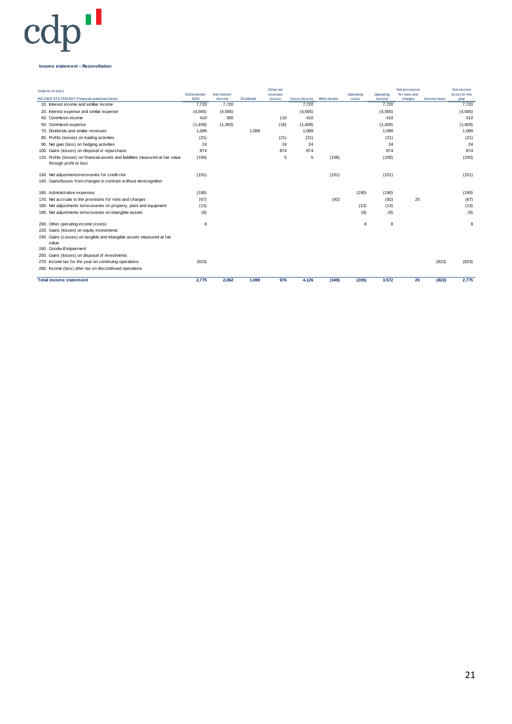#### **income statement – Reconciliation**

| (milions of euro)<br><b>INCOME STATEMENT-Financial statement items</b>                                     | 31December<br>2020 | Net interest<br>inco me | <b>Dividends</b> | Other net<br>revenues<br>(costs) | Gross Income | Write-downs | Operating<br>costs | Operating<br>income | Net provisions<br>for risks and<br>charges | Income taxes | Net income<br>(loss) for the<br>year |
|------------------------------------------------------------------------------------------------------------|--------------------|-------------------------|------------------|----------------------------------|--------------|-------------|--------------------|---------------------|--------------------------------------------|--------------|--------------------------------------|
| 10. Interest income and similiar income                                                                    | 7.720              | 7,720                   |                  |                                  | 7.720        |             |                    | 7.720               |                                            |              | 7,720                                |
| 20. Interest expense and similar expense                                                                   | (4, 565)           | (4, 565)                |                  |                                  | (4, 565)     |             |                    | (4, 565)            |                                            |              | (4, 565)                             |
| 40. Commissin income                                                                                       | 410                | 300                     |                  | 110                              | 410          |             |                    | 410                 |                                            |              | 410                                  |
| 50. Commissin expense                                                                                      | (1,409)            | (1, 393)                |                  | (16)                             | (1,409)      |             |                    | (1,409)             |                                            |              | (1,409)                              |
| 70. Dividends and similar revenues                                                                         | 1.089              |                         | 1.089            |                                  | 1,089        |             |                    | 1.089               |                                            |              | 1.089                                |
| 80. Profits (losses) on trading activities                                                                 | (21)               |                         |                  | (21)                             | (21)         |             |                    | (21)                |                                            |              | (21)                                 |
| 90. Net gain (loss) on hedging activities                                                                  | 24                 |                         |                  | 24                               | 24           |             |                    | 24                  |                                            |              | 24                                   |
| 100. Gains (losses) on disposal or repurchase                                                              | 874                |                         |                  | 874                              | 874          |             |                    | 874                 |                                            |              | 874                                  |
| 110. Profits (losses) on financial assets and liabilities measured at fair value<br>through profit or loss | (100)              |                         |                  | 5                                | 5            | (106)       |                    | (100)               |                                            |              | (100)                                |
| 130. Net adjustments/recoveries for credit risk                                                            | (151)              |                         |                  |                                  |              | (151)       |                    | (151)               |                                            |              | (151)                                |
| 140. Gains/losses from changes in contrats without derecognition                                           |                    |                         |                  |                                  |              |             |                    |                     |                                            |              |                                      |
| 160. Administrative expenses                                                                               | (190)              |                         |                  |                                  |              |             | (190)              | (190)               |                                            |              | (190)                                |
| 170. Net accruals to the provisions for risks and charges                                                  | (67)               |                         |                  |                                  |              | (92)        |                    | (92)                | 25                                         |              | (67)                                 |
| 180. Net adjustments to/recoveries on property, plant and equipment                                        | (13)               |                         |                  |                                  |              |             | (13)               | (13)                |                                            |              | (13)                                 |
| 190. Net adjustments to/recoveries on intangible assets                                                    | (9)                |                         |                  |                                  |              |             | (9)                | (9)                 |                                            |              | (9)                                  |
| 200. Other operating income (costs)                                                                        | 8                  |                         |                  |                                  |              |             | 8                  | 8                   |                                            |              | 8                                    |
| 220. Gains (losses) on equity investments                                                                  |                    |                         |                  |                                  |              |             |                    |                     |                                            |              |                                      |
| 230. Gains (Losses) on tangible and intangible assets measured at fair<br>value                            |                    |                         |                  |                                  |              |             |                    |                     |                                            |              |                                      |
| 240. Goodw ill impairment                                                                                  |                    |                         |                  |                                  |              |             |                    |                     |                                            |              |                                      |
| 250. Gains (losses) on disposal of investments                                                             |                    |                         |                  |                                  |              |             |                    |                     |                                            |              |                                      |
| 270. Income tax for the year on continuing operations                                                      | (823)              |                         |                  |                                  |              |             |                    |                     |                                            | (823)        | (823)                                |
| 280. Income (loss) after tax on discontinued operations                                                    |                    |                         |                  |                                  |              |             |                    |                     |                                            |              |                                      |
| <b>Total income statement</b>                                                                              | 2.775              | 2.062                   | 1.089            | 976                              | 4.126        | (349)       | (205)              | 3.572               | 25                                         | (823)        | 2,775                                |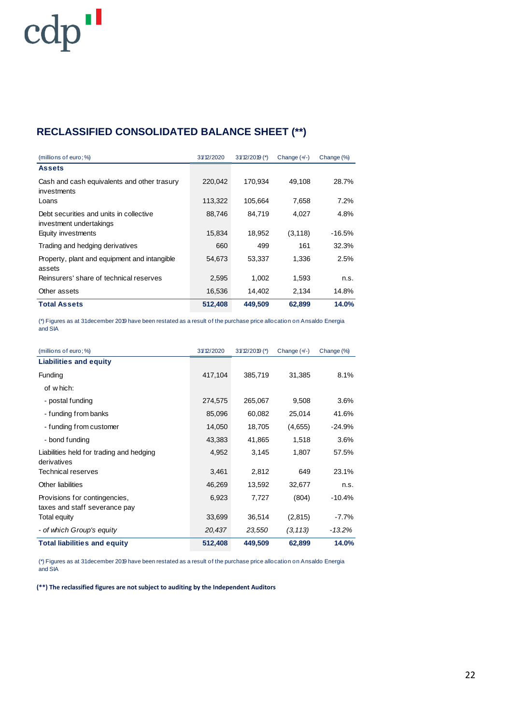# **RECLASSIFIED CONSOLIDATED BALANCE SHEET (\*\*)**

| (millions of euro; %)                                              | 31/12/2020 | $31/12/2019$ (*) | Change $(+)$ | Change (%) |
|--------------------------------------------------------------------|------------|------------------|--------------|------------|
| <b>Assets</b>                                                      |            |                  |              |            |
| Cash and cash equivalents and other trasury<br>investments         | 220.042    | 170.934          | 49.108       | 28.7%      |
| Loans                                                              | 113,322    | 105.664          | 7.658        | 7.2%       |
| Debt securities and units in collective<br>investment undertakings | 88,746     | 84,719           | 4,027        | 4.8%       |
| Equity investments                                                 | 15,834     | 18,952           | (3, 118)     | -16.5%     |
| Trading and hedging derivatives                                    | 660        | 499              | 161          | 32.3%      |
| Property, plant and equipment and intangible<br>assets             | 54,673     | 53,337           | 1,336        | 2.5%       |
| Reinsurers' share of technical reserves                            | 2,595      | 1.002            | 1,593        | n.S.       |
| Other assets                                                       | 16,536     | 14.402           | 2.134        | 14.8%      |
| <b>Total Assets</b>                                                | 512,408    | 449.509          | 62,899       | 14.0%      |

(\*) Figures as at 31 december 2019 have been restated as a result of the purchase price allocation on Ansaldo Energia and SIA

| (millions of euro; %)                                          | 31/12/2020 | $31/12/2019$ (*) | Change $(+)$ | Change (%) |
|----------------------------------------------------------------|------------|------------------|--------------|------------|
| <b>Liabilities and equity</b>                                  |            |                  |              |            |
| Funding                                                        | 417,104    | 385,719          | 31,385       | 8.1%       |
| of which:                                                      |            |                  |              |            |
| - postal funding                                               | 274,575    | 265,067          | 9,508        | $3.6\%$    |
| - funding from banks                                           | 85,096     | 60,082           | 25,014       | 41.6%      |
| - funding from customer                                        | 14,050     | 18,705           | (4,655)      | $-24.9%$   |
| - bond funding                                                 | 43,383     | 41,865           | 1,518        | 3.6%       |
| Liabilities held for trading and hedging<br>derivatives        | 4,952      | 3,145            | 1,807        | 57.5%      |
| <b>Technical reserves</b>                                      | 3,461      | 2,812            | 649          | 23.1%      |
| Other liabilities                                              | 46,269     | 13,592           | 32,677       | n.s.       |
| Provisions for contingencies,<br>taxes and staff severance pay | 6,923      | 7,727            | (804)        | $-10.4%$   |
| Total equity                                                   | 33,699     | 36,514           | (2,815)      | $-7.7\%$   |
| - of which Group's equity                                      | 20,437     | 23,550           | (3, 113)     | $-13.2\%$  |
| <b>Total liabilities and equity</b>                            | 512,408    | 449,509          | 62,899       | 14.0%      |

(\*) Figures as at 31 december 2019 have been restated as a result of the purchase price allocation on Ansaldo Energia and SIA

**(\*\*) The reclassified figures are not subject to auditing by the Independent Auditors**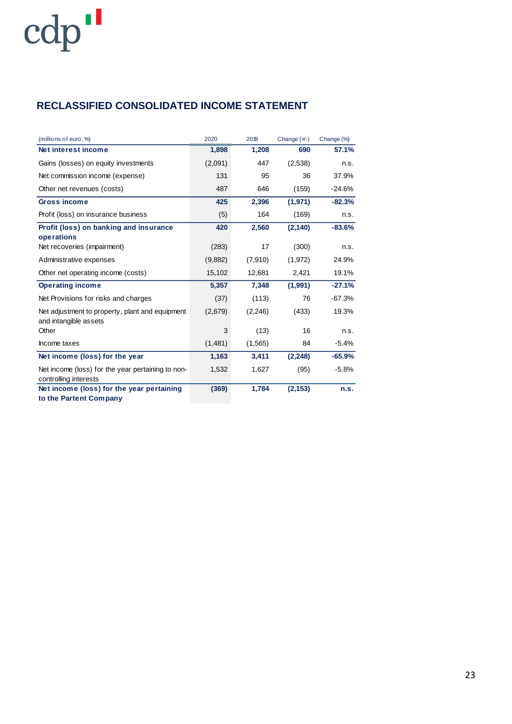## **RECLASSIFIED CONSOLIDATED INCOME STATEMENT**

| (millions of euro; %)                                                      | 2020    | 2019     | Change $(+)$ | Change (%) |
|----------------------------------------------------------------------------|---------|----------|--------------|------------|
| Net interest income                                                        | 1,898   | 1,208    | 690          | 57.1%      |
| Gains (losses) on equity investments                                       | (2,091) | 447      | (2,538)      | n.s.       |
| Net commission income (expense)                                            | 131     | 95       | 36           | 37.9%      |
| Other net revenues (costs)                                                 | 487     | 646      | (159)        | -24.6%     |
| <b>Gross income</b>                                                        | 425     | 2,396    | (1,971)      | $-82.3%$   |
| Profit (loss) on insurance business                                        | (5)     | 164      | (169)        | n.s.       |
| Profit (loss) on banking and insurance<br>operations                       | 420     | 2,560    | (2, 140)     | $-83.6%$   |
| Net recoveries (impairment)                                                | (283)   | 17       | (300)        | n.s.       |
| Administrative expenses                                                    | (9,882) | (7,910)  | (1,972)      | 24.9%      |
| Other net operating income (costs)                                         | 15,102  | 12,681   | 2,421        | 19.1%      |
| <b>Operating income</b>                                                    | 5,357   | 7,348    | (1,991)      | $-27.1%$   |
| Net Provisions for risks and charges                                       | (37)    | (113)    | 76           | $-67.3%$   |
| Net adjustment to property, plant and equipment<br>and intangible assets   | (2,679) | (2, 246) | (433)        | 19.3%      |
| Other                                                                      | 3       | (13)     | 16           | n.s.       |
| Income taxes                                                               | (1,481) | (1, 565) | 84           | $-5.4%$    |
| Net income (loss) for the year                                             | 1,163   | 3,411    | (2, 248)     | $-65.9%$   |
| Net income (loss) for the year pertaining to non-<br>controlling interests | 1,532   | 1,627    | (95)         | $-5.8%$    |
| Net income (loss) for the year pertaining<br>to the Partent Company        | (369)   | 1,784    | (2, 153)     | n.s.       |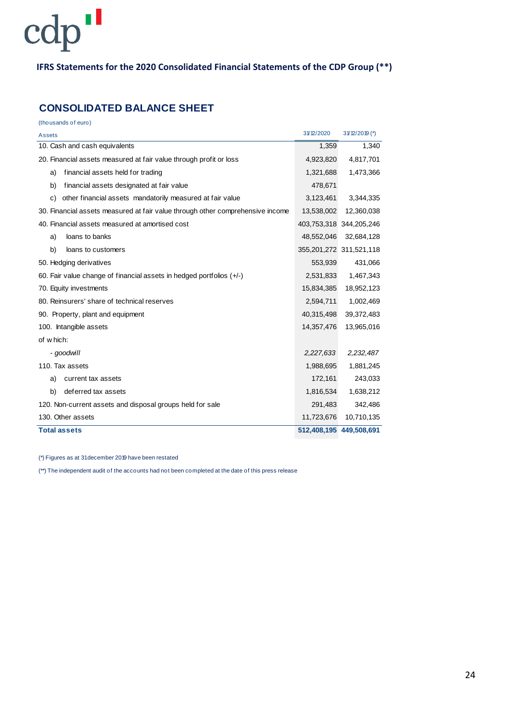### **IFRS Statements for the 2020 Consolidated Financial Statements of the CDP Group (\*\*)**

## **CONSOLIDATED BALANCE SHEET**

(thousands of euro)

| Assets                                                                         | 31/12/2020 | 31/12/2019 (*)          |
|--------------------------------------------------------------------------------|------------|-------------------------|
| 10. Cash and cash equivalents                                                  | 1,359      | 1,340                   |
| 20. Financial assets measured at fair value through profit or loss             | 4,923,820  | 4,817,701               |
| financial assets held for trading<br>a)                                        | 1,321,688  | 1,473,366               |
| financial assets designated at fair value<br>b)                                | 478,671    |                         |
| c)<br>other financial assets mandatorily measured at fair value                | 3,123,461  | 3,344,335               |
| 30. Financial assets measured at fair value through other comprehensive income | 13,538,002 | 12,360,038              |
| 40. Financial assets measured at amortised cost                                |            | 403,753,318 344,205,246 |
| loans to banks<br>a)                                                           | 48,552,046 | 32,684,128              |
| b)<br>loans to customers                                                       |            | 355,201,272 311,521,118 |
| 50. Hedging derivatives                                                        | 553,939    | 431,066                 |
| 60. Fair value change of financial assets in hedged portfolios $(+/-)$         | 2,531,833  | 1,467,343               |
| 70. Equity investments                                                         | 15,834,385 | 18,952,123              |
| 80. Reinsurers' share of technical reserves                                    | 2,594,711  | 1,002,469               |
| 90. Property, plant and equipment                                              | 40,315,498 | 39,372,483              |
| 100. Intangible assets                                                         | 14,357,476 | 13,965,016              |
| of which:                                                                      |            |                         |
| - goodwill                                                                     | 2,227,633  | 2,232,487               |
| 110. Tax assets                                                                | 1,988,695  | 1,881,245               |
| current tax assets<br>a)                                                       | 172,161    | 243,033                 |
| deferred tax assets<br>b)                                                      | 1,816,534  | 1,638,212               |
| 120. Non-current assets and disposal groups held for sale                      | 291,483    | 342,486                 |
| 130. Other assets                                                              | 11,723,676 | 10,710,135              |
| <b>Total assets</b>                                                            |            | 512,408,195 449,508,691 |

(\*) Figures as at 31 december 2019 have been restated

(\*\*) The independent audit of the accounts had not been completed at the date of this press release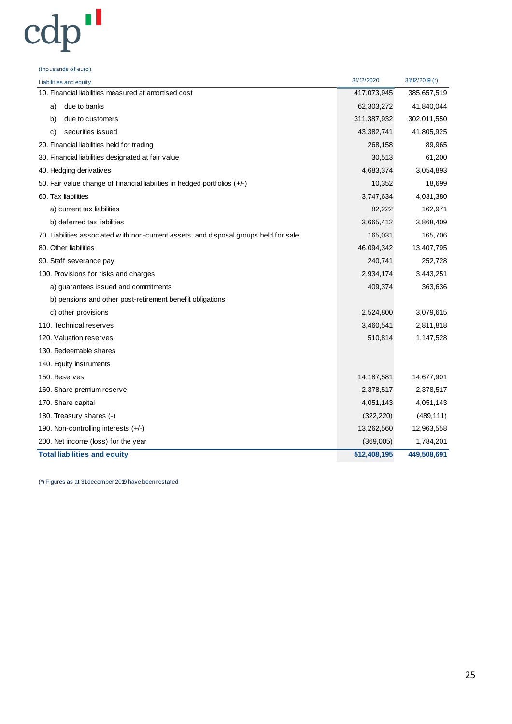(thousands of euro)

| Liabilities and equity                                                               | 31/12/2020  | $31/12/2019$ (*) |
|--------------------------------------------------------------------------------------|-------------|------------------|
| 10. Financial liabilities measured at amortised cost                                 | 417,073,945 | 385,657,519      |
| due to banks<br>a)                                                                   | 62,303,272  | 41,840,044       |
| b)<br>due to customers                                                               | 311,387,932 | 302,011,550      |
| securities issued<br>C)                                                              | 43,382,741  | 41,805,925       |
| 20. Financial liabilities held for trading                                           | 268,158     | 89,965           |
| 30. Financial liabilities designated at fair value                                   | 30,513      | 61,200           |
| 40. Hedging derivatives                                                              | 4,683,374   | 3,054,893        |
| 50. Fair value change of financial liabilities in hedged portfolios (+/-)            | 10,352      | 18,699           |
| 60. Tax liabilities                                                                  | 3,747,634   | 4,031,380        |
| a) current tax liabilities                                                           | 82,222      | 162,971          |
| b) deferred tax liabilities                                                          | 3,665,412   | 3,868,409        |
| 70. Liabilities associated with non-current assets and disposal groups held for sale | 165,031     | 165,706          |
| 80. Other liabilities                                                                | 46,094,342  | 13,407,795       |
| 90. Staff severance pay                                                              | 240,741     | 252,728          |
| 100. Provisions for risks and charges                                                | 2,934,174   | 3,443,251        |
| a) guarantees issued and commitments                                                 | 409,374     | 363,636          |
| b) pensions and other post-retirement benefit obligations                            |             |                  |
| c) other provisions                                                                  | 2,524,800   | 3,079,615        |
| 110. Technical reserves                                                              | 3,460,541   | 2,811,818        |
| 120. Valuation reserves                                                              | 510,814     | 1,147,528        |
| 130. Redeemable shares                                                               |             |                  |
| 140. Equity instruments                                                              |             |                  |
| 150. Reserves                                                                        | 14,187,581  | 14,677,901       |
| 160. Share premium reserve                                                           | 2,378,517   | 2,378,517        |
| 170. Share capital                                                                   | 4,051,143   | 4,051,143        |
| 180. Treasury shares (-)                                                             | (322, 220)  | (489, 111)       |
| 190. Non-controlling interests (+/-)                                                 | 13,262,560  | 12,963,558       |
| 200. Net income (loss) for the year                                                  | (369,005)   | 1,784,201        |
| <b>Total liabilities and equity</b>                                                  | 512,408,195 | 449,508,691      |
|                                                                                      |             |                  |

(\*) Figures as at 31 december 2019 have been restated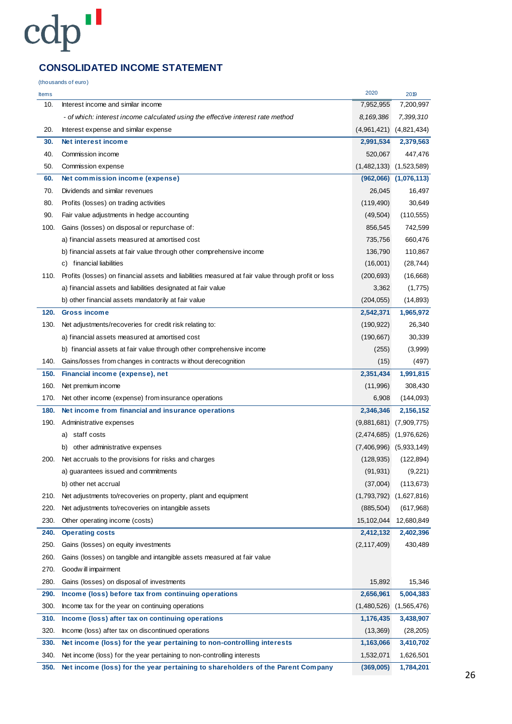## **CONSOLIDATED INCOME STATEMENT**

(thousands of euro)

| <b>Items</b> |                                                                                                    | 2020          | 2019                        |
|--------------|----------------------------------------------------------------------------------------------------|---------------|-----------------------------|
| 10.          | Interest income and similar income                                                                 | 7,952,955     | 7,200,997                   |
|              | - of which: interest income calculated using the effective interest rate method                    | 8,169,386     | 7,399,310                   |
| 20.          | Interest expense and similar expense                                                               |               | $(4,961,421)$ $(4,821,434)$ |
| 30.          | Net interest income                                                                                | 2,991,534     | 2,379,563                   |
| 40.          | Commission income                                                                                  | 520,067       | 447,476                     |
| 50.          | Commission expense                                                                                 |               | $(1,482,133)$ $(1,523,589)$ |
| 60.          | Net commission income (expense)                                                                    |               | $(962,066)$ $(1,076,113)$   |
| 70.          | Dividends and similar revenues                                                                     | 26,045        | 16,497                      |
| 80.          | Profits (losses) on trading activities                                                             | (119, 490)    | 30,649                      |
| 90.          | Fair value adjustments in hedge accounting                                                         | (49, 504)     | (110, 555)                  |
| 100.         | Gains (losses) on disposal or repurchase of:                                                       | 856,545       | 742,599                     |
|              | a) financial assets measured at amortised cost                                                     | 735,756       | 660,476                     |
|              | b) financial assets at fair value through other comprehensive income                               | 136,790       | 110,867                     |
|              | c) financial liabilities                                                                           | (16,001)      | (28, 744)                   |
| 110.         | Profits (losses) on financial assets and liabilities measured at fair value through profit or loss | (200, 693)    | (16,668)                    |
|              | a) financial assets and liabilities designated at fair value                                       | 3,362         | (1,775)                     |
|              | b) other financial assets mandatorily at fair value                                                | (204, 055)    | (14, 893)                   |
| 120.         | <b>Gross income</b>                                                                                | 2,542,371     | 1,965,972                   |
| 130.         | Net adjustments/recoveries for credit risk relating to:                                            | (190, 922)    | 26,340                      |
|              | a) financial assets measured at amortised cost                                                     | (190, 667)    | 30,339                      |
|              | b) financial assets at fair value through other comprehensive income                               | (255)         | (3,999)                     |
| 140.         | Gains/losses from changes in contracts without derecognition                                       | (15)          | (497)                       |
| 150.         | Financial income (expense), net                                                                    | 2,351,434     | 1,991,815                   |
| 160.         | Net premium income                                                                                 | (11,996)      | 308,430                     |
| 170.         | Net other income (expense) from insurance operations                                               | 6,908         | (144, 093)                  |
| 180.         | Net income from financial and insurance operations                                                 | 2,346,346     | 2,156,152                   |
| 190.         | Administrative expenses                                                                            |               | $(9,881,681)$ $(7,909,775)$ |
|              | a) staff costs                                                                                     |               | $(2,474,685)$ $(1,976,626)$ |
|              | other administrative expenses<br>b)                                                                |               | $(7,406,996)$ $(5,933,149)$ |
| 200.         | Net accruals to the provisions for risks and charges                                               | (128, 935)    | (122, 894)                  |
|              | a) quarantees issued and commitments                                                               | (91, 931)     | (9,221)                     |
|              | b) other net accrual                                                                               | (37,004)      | (113, 673)                  |
| 210.         | Net adjustments to/recoveries on property, plant and equipment                                     | (1,793,792)   | (1,627,816)                 |
| 220.         | Net adjustments to/recoveries on intangible assets                                                 | (885, 504)    | (617,968)                   |
| 230.         | Other operating income (costs)                                                                     | 15,102,044    | 12,680,849                  |
| 240.         | <b>Operating costs</b>                                                                             | 2,412,132     | 2,402,396                   |
| 250.         | Gains (losses) on equity investments                                                               | (2, 117, 409) | 430,489                     |
| 260.         | Gains (losses) on tangible and intangible assets measured at fair value                            |               |                             |
| 270.         | Goodw ill impairment                                                                               |               |                             |
| 280.         | Gains (losses) on disposal of investments                                                          | 15,892        | 15,346                      |
| 290.         | Income (loss) before tax from continuing operations                                                | 2,656,961     | 5,004,383                   |
| 300.         | Income tax for the year on continuing operations                                                   | (1,480,526)   | (1,565,476)                 |
| 310.         | Income (loss) after tax on continuing operations                                                   | 1,176,435     | 3,438,907                   |
| 320.         | Income (loss) after tax on discontinued operations                                                 | (13, 369)     | (28, 205)                   |
| 330.         | Net income (loss) for the year pertaining to non-controlling interests                             | 1,163,066     | 3,410,702                   |
| 340.         | Net income (loss) for the year pertaining to non-controlling interests                             | 1,532,071     | 1,626,501                   |
| 350.         | Net income (loss) for the year pertaining to shareholders of the Parent Company                    | (369,005)     | 1,784,201                   |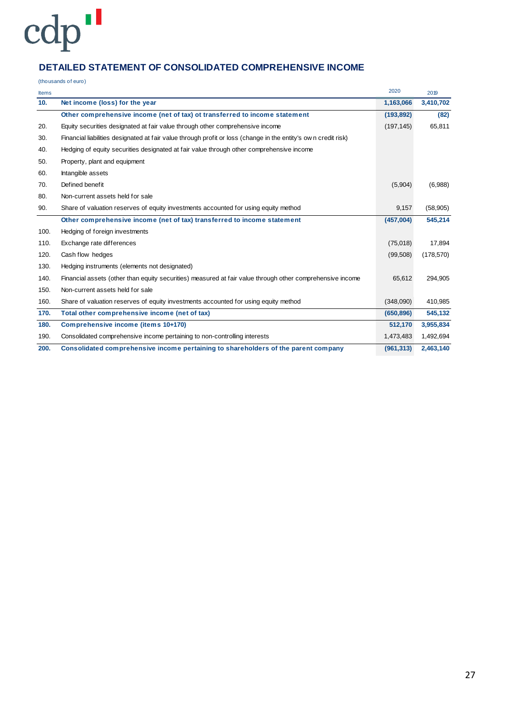### **DETAILED STATEMENT OF CONSOLIDATED COMPREHENSIVE INCOME**

(thousands of euro)

| <b>Items</b>    |                                                                                                                | 2020       | 2019       |
|-----------------|----------------------------------------------------------------------------------------------------------------|------------|------------|
| 10 <sub>1</sub> | Net income (loss) for the year                                                                                 | 1,163,066  | 3,410,702  |
|                 | Other comprehensive income (net of tax) ot transferred to income statement                                     | (193, 892) | (82)       |
| 20.             | Equity securities designated at fair value through other comprehensive income                                  | (197, 145) | 65,811     |
| 30.             | Financial liabilities designated at fair value through profit or loss (change in the entity's own credit risk) |            |            |
| 40.             | Hedging of equity securities designated at fair value through other comprehensive income                       |            |            |
| 50.             | Property, plant and equipment                                                                                  |            |            |
| 60.             | Intangible assets                                                                                              |            |            |
| 70.             | Defined benefit                                                                                                | (5,904)    | (6,988)    |
| 80.             | Non-current assets held for sale                                                                               |            |            |
| 90.             | Share of valuation reserves of equity investments accounted for using equity method                            | 9,157      | (58, 905)  |
|                 | Other comprehensive income (net of tax) transferred to income statement                                        | (457,004)  | 545,214    |
| 100.            | Hedging of foreign investments                                                                                 |            |            |
| 110.            | Exchange rate differences                                                                                      | (75,018)   | 17,894     |
| 120.            | Cash flow hedges                                                                                               | (99, 508)  | (178, 570) |
| 130.            | Hedging instruments (elements not designated)                                                                  |            |            |
| 140.            | Financial assets (other than equity securities) measured at fair value through other comprehensive income      | 65,612     | 294,905    |
| 150.            | Non-current assets held for sale                                                                               |            |            |
| 160.            | Share of valuation reserves of equity investments accounted for using equity method                            | (348,090)  | 410,985    |
| 170.            | Total other comprehensive income (net of tax)                                                                  | (650, 896) | 545,132    |
| 180.            | Comprehensive income (items 10+170)                                                                            | 512,170    | 3,955,834  |
| 190.            | Consolidated comprehensive income pertaining to non-controlling interests                                      | 1,473,483  | 1,492,694  |
| 200.            | Consolidated comprehensive income pertaining to shareholders of the parent company                             | (961, 313) | 2,463,140  |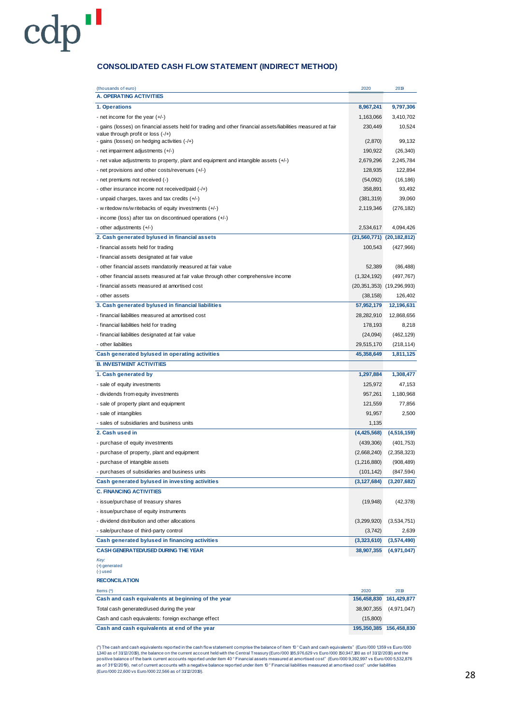#### **CONSOLIDATED CASH FLOW STATEMENT (INDIRECT METHOD)**

cdp"

| (thousands of euro)<br><b>A. OPERATING ACTIVITIES</b>                                                                                                                                                 | 2020               | 2019                          |
|-------------------------------------------------------------------------------------------------------------------------------------------------------------------------------------------------------|--------------------|-------------------------------|
|                                                                                                                                                                                                       |                    |                               |
| 1. Operations                                                                                                                                                                                         | 8,967,241          | 9,797,306                     |
| - net income for the year $(+/-)$                                                                                                                                                                     | 1,163,066          | 3,410,702                     |
| - gains (losses) on financial assets held for trading and other financial assets/liabilities measured at fair<br>value through profit or loss $(-/+)$<br>- gains (losses) on hedging activities (-/+) | 230,449<br>(2,870) | 10,524<br>99,132              |
| - net impairment adjustments (+/-)                                                                                                                                                                    | 190,922            | (26, 340)                     |
| - net value adjustments to property, plant and equipment and intangible assets $(+/-)$                                                                                                                | 2,679,296          | 2,245,784                     |
| - net provisions and other costs/revenues (+/-)                                                                                                                                                       | 128,935            | 122,894                       |
| - net premiums not received (-)                                                                                                                                                                       | (54,092)           | (16, 186)                     |
| - other insurance income not received/paid (-/+)                                                                                                                                                      | 358,891            | 93,492                        |
| - unpaid charges, taxes and tax credits (+/-)                                                                                                                                                         | (381, 319)         | 39,060                        |
| - w ritedow ns/w ritebacks of equity investments (+/-)                                                                                                                                                | 2,119,346          | (276, 182)                    |
| - income (loss) after tax on discontinued operations (+/-)                                                                                                                                            |                    |                               |
| - other adjustments (+/-)                                                                                                                                                                             | 2,534,617          | 4,094,426                     |
| 2. Cash generated by/used in financial assets                                                                                                                                                         |                    | $(21,560,771)$ $(20,182,812)$ |
| - financial assets held for trading                                                                                                                                                                   | 100,543            | (427,966)                     |
| - financial assets designated at fair value                                                                                                                                                           |                    |                               |
| - other financial assets mandatorily measured at fair value                                                                                                                                           | 52,389             | (86, 488)                     |
| - other financial assets measured at fair value through other comprehensive income                                                                                                                    | (1,324,192)        | (497, 767)                    |
| - financial assets measured at amortised cost                                                                                                                                                         |                    | $(20,351,353)$ $(19,296,993)$ |
| - other assets                                                                                                                                                                                        | (38, 158)          | 126,402                       |
| 3. Cash generated by/used in financial liabilities                                                                                                                                                    | 57,952,179         | 12,196,631                    |
| - financial liabilities measured at amortised cost                                                                                                                                                    | 28,282,910         | 12,868,656                    |
| - financial liabilities held for trading                                                                                                                                                              | 178,193            | 8,218                         |
| - financial liabilities designated at fair value                                                                                                                                                      | (24,094)           | (462, 129)                    |
| - other liabilities                                                                                                                                                                                   | 29,515,170         | (218, 114)                    |
| Cash generated by/used in operating activities                                                                                                                                                        | 45,358,649         | 1,811,125                     |
| <b>B. INVESTMENT ACTIVITIES</b>                                                                                                                                                                       |                    |                               |
| 1. Cash generated by                                                                                                                                                                                  | 1,297,884          | 1,308,477                     |
| - sale of equity investments                                                                                                                                                                          | 125,972            | 47,153                        |
| - dividends from equity investments                                                                                                                                                                   | 957,261            | 1,180,968                     |
| - sale of property plant and equipment                                                                                                                                                                | 121,559            | 77,856                        |
| - sale of intangibles                                                                                                                                                                                 | 91,957             | 2,500                         |
| - sales of subsidiaries and business units                                                                                                                                                            | 1,135              |                               |
| 2. Cash used in                                                                                                                                                                                       | (4,425,568)        | (4,516,159)                   |
| - purchase of equity investments                                                                                                                                                                      | (439, 306)         | (401, 753)                    |
| - purchase of property, plant and equipment                                                                                                                                                           | (2,668,240)        | (2,358,323)                   |
| - purchase of intangible assets                                                                                                                                                                       | (1, 216, 880)      | (908, 489)                    |
| - purchases of subsidiaries and business units                                                                                                                                                        | (101, 142)         | (847, 594)                    |
| Cash generated by/used in investing activities                                                                                                                                                        | (3, 127, 684)      | (3,207,682)                   |
| <b>C. FINANCING ACTIVITIES</b>                                                                                                                                                                        |                    |                               |
| - issue/purchase of treasury shares                                                                                                                                                                   | (19, 948)          | (42, 378)                     |
| - issue/purchase of equity instruments                                                                                                                                                                |                    |                               |
| - dividend distribution and other allocations                                                                                                                                                         | (3,299,920)        | (3,534,751)                   |
| - sale/purchase of third-party control                                                                                                                                                                | (3, 742)           | 2,639                         |
| Cash generated by/used in financing activities                                                                                                                                                        | (3,323,610)        | (3,574,490)                   |
| CASH GENERATED/USED DURING THE YEAR                                                                                                                                                                   | 38,907,355         | (4,971,047)                   |
| Key:<br>(+) generated<br>$(-)$ used                                                                                                                                                                   |                    |                               |
| <b>RECONCILATION</b>                                                                                                                                                                                  |                    |                               |
| Items $(*)$                                                                                                                                                                                           | 2020               | 2019                          |
| Cash and cash equivalents at beginning of the year                                                                                                                                                    | 156,458,830        | 161,429,877                   |
| Total cash generated/used during the year                                                                                                                                                             | 38,907,355         | (4,971,047)                   |
| Cash and cash equivalents: foreign exchange effect                                                                                                                                                    | (15,800)           |                               |
| Cash and cash equivalents at end of the year                                                                                                                                                          |                    | 195,350,385 156,458,830       |

Cash and cash equivalents at end of the year<br>
(\*) The cash and cash equivalents reported in the cash flow statement comprise the balance of item 10 " Cash and cash equivalents" (Euro/000 1359 vs Euro/000<br>
(\*) The cash and (") The cash and cash equivalents reported in the cash flow statement comprise the balance of item 10 " Cash and cash equivalents" (Euro/000 1,359 vs Euro/000 1,359 vs Euro/000 1,359 vs Euro/000 1,359 vs Euro/000 1,359 vs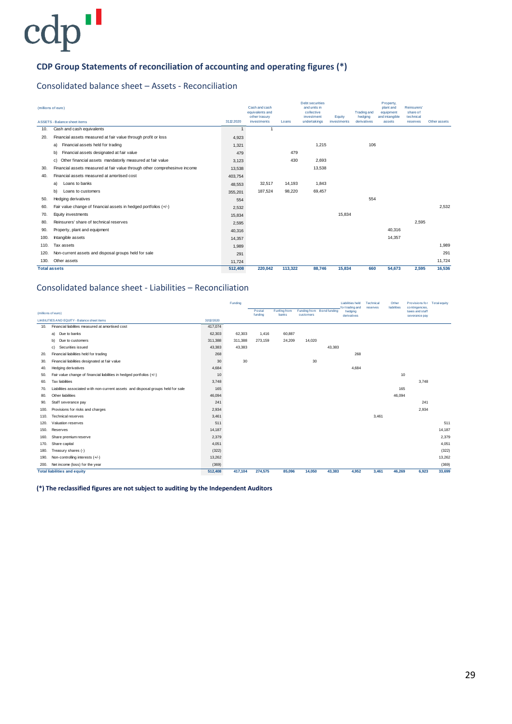### **CDP Group Statements of reconciliation of accounting and operating figures (\*)**

#### Consolidated balance sheet – Assets - Reconciliation

|      | (millions of euro)                                                         |           | Cash and cash<br>equivalents and<br>other trasury |         | <b>Debt securities</b><br>and units in<br>collective<br>investment | Equity      | <b>Trading and</b><br>hedging | Property,<br>plant and<br>equipment<br>and intangible | Reinsurers'<br>share of<br>technical |              |
|------|----------------------------------------------------------------------------|-----------|---------------------------------------------------|---------|--------------------------------------------------------------------|-------------|-------------------------------|-------------------------------------------------------|--------------------------------------|--------------|
|      | <b>ASSETS - Balance sheet items</b>                                        | 3112.2020 | investments                                       | Loans   | undertakings                                                       | investments | derivatives                   | assets                                                | reserves                             | Other assets |
| 10.  | Cash and cash equivalents                                                  |           |                                                   |         |                                                                    |             |                               |                                                       |                                      |              |
| 20.  | Financial assets measured at fair value through profit or loss             | 4,923     |                                                   |         |                                                                    |             |                               |                                                       |                                      |              |
|      | Financial assets held for trading<br>a)                                    | 1.321     |                                                   |         | 1,215                                                              |             | 106                           |                                                       |                                      |              |
|      | Financial assets designated at fair value<br>b)                            | 479       |                                                   | 479     |                                                                    |             |                               |                                                       |                                      |              |
|      | Other financial assets mandatorily measured at fair value<br>c)            | 3.123     |                                                   | 430     | 2,693                                                              |             |                               |                                                       |                                      |              |
| 30.  | Financial assets measured at fair value through other comprehesinve income | 13,538    |                                                   |         | 13,538                                                             |             |                               |                                                       |                                      |              |
| 40.  | Financial assets measured at amortised cost                                | 403,754   |                                                   |         |                                                                    |             |                               |                                                       |                                      |              |
|      | Loans to banks<br>a)                                                       | 48.553    | 32,517                                            | 14,193  | 1,843                                                              |             |                               |                                                       |                                      |              |
|      | b)<br>Loans to customers                                                   | 355.201   | 187,524                                           | 98,220  | 69,457                                                             |             |                               |                                                       |                                      |              |
| 50.  | Hedging derivatives                                                        | 554       |                                                   |         |                                                                    |             | 554                           |                                                       |                                      |              |
| 60.  | Fair value change of financial assets in hedged portfolios (+/-)           | 2,532     |                                                   |         |                                                                    |             |                               |                                                       |                                      | 2,532        |
| 70.  | Equity investments                                                         | 15.834    |                                                   |         |                                                                    | 15.834      |                               |                                                       |                                      |              |
| 80.  | Reinsurers' share of technical reserves                                    | 2,595     |                                                   |         |                                                                    |             |                               |                                                       | 2.595                                |              |
| 90.  | Property, plant and equipment                                              | 40,316    |                                                   |         |                                                                    |             |                               | 40.316                                                |                                      |              |
| 100. | Intangible assets                                                          | 14.357    |                                                   |         |                                                                    |             |                               | 14.357                                                |                                      |              |
| 110. | Tax assets                                                                 | 1,989     |                                                   |         |                                                                    |             |                               |                                                       |                                      | 1.989        |
| 120. | Non-current assets and disposal groups held for sale                       | 291       |                                                   |         |                                                                    |             |                               |                                                       |                                      | 291          |
| 130. | Other assets                                                               | 11.724    |                                                   |         |                                                                    |             |                               |                                                       |                                      | 11,724       |
|      | <b>Total assets</b>                                                        | 512.408   | 220,042                                           | 113.322 | 88.746                                                             | 15.834      | 660                           | 54.673                                                | 2,595                                | 16.536       |

#### Consolidated balance sheet - Liabilities – Reconciliation

|      |                                                                                  |            | Funding |                   |                       |                                        |        | <b>Liabilities held</b><br>for trading and | Technical | Other<br>liabilities | Provisions for Total equity<br>contingencies, |        |
|------|----------------------------------------------------------------------------------|------------|---------|-------------------|-----------------------|----------------------------------------|--------|--------------------------------------------|-----------|----------------------|-----------------------------------------------|--------|
|      | (millions of euro)                                                               |            |         | Postal<br>funding | Funfing from<br>banks | Funding from Bond funding<br>customers |        | hedaina<br>derivatives                     | reserves  |                      | taxes and staff<br>severance pay              |        |
|      | LIABILITIES AND EQUITY - Balance sheet items                                     | 31/12/2020 |         |                   |                       |                                        |        |                                            |           |                      |                                               |        |
| 10.  | Financial liabilites measured at amortised cost                                  | 417,074    |         |                   |                       |                                        |        |                                            |           |                      |                                               |        |
|      | a) Due to banks                                                                  | 62,303     | 62,303  | 1,416             | 60,887                |                                        |        |                                            |           |                      |                                               |        |
|      | Due to customers<br>b)                                                           | 311,388    | 311,388 | 273,159           | 24,209                | 14,020                                 |        |                                            |           |                      |                                               |        |
|      | Securities issued<br>c)                                                          | 43,383     | 43.383  |                   |                       |                                        | 43,383 |                                            |           |                      |                                               |        |
| 20.  | Financial liabilities held for trading                                           | 268        |         |                   |                       |                                        |        | 268                                        |           |                      |                                               |        |
| 30.  | Financial liabilities designated at fair value                                   | 30         | 30      |                   |                       | 30                                     |        |                                            |           |                      |                                               |        |
| 40.  | <b>Hedging derivatives</b>                                                       | 4,684      |         |                   |                       |                                        |        | 4.684                                      |           |                      |                                               |        |
| 50.  | Fair value change of financial liabilities in hedged portfolios (+/-)            | 10         |         |                   |                       |                                        |        |                                            |           | 10                   |                                               |        |
| 60.  | <b>Tax liabilities</b>                                                           | 3,748      |         |                   |                       |                                        |        |                                            |           |                      | 3,748                                         |        |
| 70.  | Liabilities associated with non-current assets and disposal groups held for sale | 165        |         |                   |                       |                                        |        |                                            |           | 165                  |                                               |        |
| 80.  | Other liabilities                                                                | 46,094     |         |                   |                       |                                        |        |                                            |           | 46,094               |                                               |        |
| 90.  | Staff severance pay                                                              | 241        |         |                   |                       |                                        |        |                                            |           |                      | 241                                           |        |
| 100. | Provisions for risks and charges                                                 | 2,934      |         |                   |                       |                                        |        |                                            |           |                      | 2.934                                         |        |
| 110. | <b>Technical reserves</b>                                                        | 3,461      |         |                   |                       |                                        |        |                                            | 3,461     |                      |                                               |        |
| 120. | Valuation reserves                                                               | 511        |         |                   |                       |                                        |        |                                            |           |                      |                                               | 511    |
| 150. | Reserves                                                                         | 14.187     |         |                   |                       |                                        |        |                                            |           |                      |                                               | 14,187 |
| 160. | Share premium reserve                                                            | 2,379      |         |                   |                       |                                        |        |                                            |           |                      |                                               | 2.379  |
| 170. | Share capital                                                                    | 4,051      |         |                   |                       |                                        |        |                                            |           |                      |                                               | 4,051  |
| 180. | Treasury shares (-)                                                              | (322)      |         |                   |                       |                                        |        |                                            |           |                      |                                               | (322)  |
| 190. | Non-controlling interests (+/-)                                                  | 13,262     |         |                   |                       |                                        |        |                                            |           |                      |                                               | 13,262 |
| 200. | Net income (loss) for the year                                                   | (369)      |         |                   |                       |                                        |        |                                            |           |                      |                                               | (369)  |
|      | <b>Total liabilities and equity</b>                                              |            | 417,104 | 274,575           | 85,096                | 14,050                                 | 43,383 | 4,952                                      | 3,461     | 46,269               | 6,923                                         | 33,699 |

**(\*) The reclassified figures are not subject to auditing by the Independent Auditors**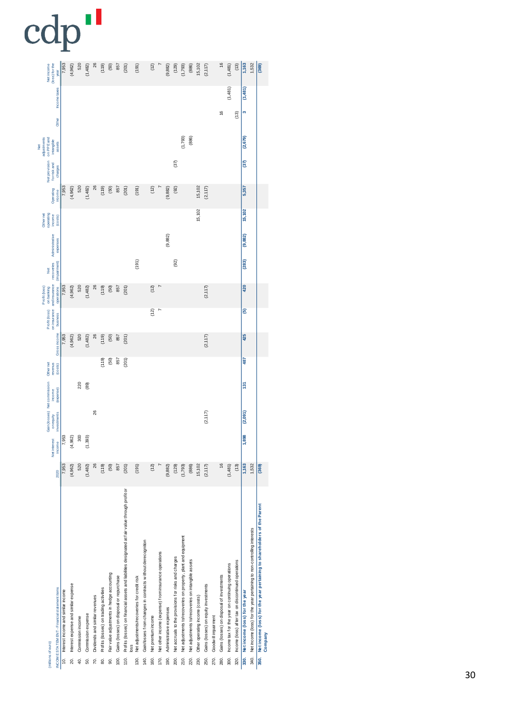|                              | (loss) for the<br>Netincome                              | year<br>Income taxes<br>Other                | 7,953                                    | (4, 962)                                    | 520                     | (1,482)                   | 26                                   | (119)                                       | $(50)$                                            | 857                                              | (201)                                                                                                   | (191)                                              |                                                                     | (12)                       |                                                              | (9, 882)                        | (129)                                                        | (1,793)                                                                | (886)                                                      | 15,102                                 | (2, 117)                                     |                             | 16<br>16                                          | (1,481)<br>(1,481)                                                | (13)<br>(13)                                               | 1,163<br>(1,481)<br>ø                  | 1,532                                                                          | (369)                                                                           |
|------------------------------|----------------------------------------------------------|----------------------------------------------|------------------------------------------|---------------------------------------------|-------------------------|---------------------------|--------------------------------------|---------------------------------------------|---------------------------------------------------|--------------------------------------------------|---------------------------------------------------------------------------------------------------------|----------------------------------------------------|---------------------------------------------------------------------|----------------------------|--------------------------------------------------------------|---------------------------------|--------------------------------------------------------------|------------------------------------------------------------------------|------------------------------------------------------------|----------------------------------------|----------------------------------------------|-----------------------------|---------------------------------------------------|-------------------------------------------------------------------|------------------------------------------------------------|----------------------------------------|--------------------------------------------------------------------------------|---------------------------------------------------------------------------------|
| adjustments<br>$\frac{1}{2}$ | on PPE and<br>intangible<br>Net provision<br>forrisk and | assets<br>charges                            |                                          |                                             |                         |                           |                                      |                                             |                                                   |                                                  |                                                                                                         |                                                    |                                                                     |                            |                                                              |                                 | (37)                                                         | (1,793)                                                                | (886)                                                      |                                        |                                              |                             |                                                   |                                                                   |                                                            | (2,679)<br>$\overline{37}$             |                                                                                |                                                                                 |
|                              | Operating                                                | income                                       | 7,953                                    | (4,962)                                     | 520                     | (1,482)                   | 26                                   | (119)                                       | $(50)$                                            | 857                                              | (201)                                                                                                   | (191)                                              |                                                                     | (12)                       |                                                              | (9, 882)                        | (92)                                                         |                                                                        |                                                            | 15,102                                 | (2, 117)                                     |                             |                                                   |                                                                   |                                                            | 5,357                                  |                                                                                |                                                                                 |
| Other net                    | o perating<br>inco me<br>Administrative                  | (cos <sub>1</sub> )<br>expenses              |                                          |                                             |                         |                           |                                      |                                             |                                                   |                                                  |                                                                                                         |                                                    |                                                                     |                            |                                                              | (9, 882)                        |                                                              |                                                                        |                                                            | 15,102                                 |                                              |                             |                                                   |                                                                   |                                                            | 15,102<br>(9,882)                      |                                                                                |                                                                                 |
|                              | reco veries<br><b>Det</b>                                | (impairment)                                 |                                          |                                             |                         |                           |                                      |                                             |                                                   |                                                  |                                                                                                         | (191)                                              |                                                                     |                            |                                                              |                                 | (92)                                                         |                                                                        |                                                            |                                        |                                              |                             |                                                   |                                                                   |                                                            | (283)                                  |                                                                                |                                                                                 |
| Profit (loss)                | on insurance and insurance<br>on banking                 | operations                                   | 7,953                                    | (4, 962)                                    | 520                     | (1,482)                   | 26                                   | (119)                                       | (50)                                              | 857                                              | 201                                                                                                     |                                                    |                                                                     | (12)<br>(12)               | $\overline{ }$                                               |                                 |                                                              |                                                                        |                                                            |                                        | (2, 117)                                     |                             |                                                   |                                                                   |                                                            | 420<br>ම                               |                                                                                |                                                                                 |
|                              | Profit (loss)                                            | <b>busness</b><br>Gross income               | 7,953                                    | (4,962)                                     | 520                     | (1,482)                   | 26                                   | (119)                                       | (50)                                              | 857                                              | (201)                                                                                                   |                                                    |                                                                     |                            |                                                              |                                 |                                                              |                                                                        |                                                            |                                        | (2, 117)                                     |                             |                                                   |                                                                   |                                                            | 425                                    |                                                                                |                                                                                 |
|                              | Other net<br>revenus                                     | $($ co sts $)$                               |                                          |                                             |                         |                           |                                      | (119)                                       | (50)                                              | 857                                              | 201                                                                                                     |                                                    |                                                                     |                            |                                                              |                                 |                                                              |                                                                        |                                                            |                                        |                                              |                             |                                                   |                                                                   |                                                            | 487                                    |                                                                                |                                                                                 |
|                              | Gain (losses) Net commission<br>income                   | (expense)                                    |                                          |                                             | 220                     | (89)                      | 26                                   |                                             |                                                   |                                                  |                                                                                                         |                                                    |                                                                     |                            |                                                              |                                 |                                                              |                                                                        |                                                            |                                        | (2,117)                                      |                             |                                                   |                                                                   |                                                            | $\frac{5}{13}$<br>(2,091)              |                                                                                |                                                                                 |
|                              | on equity<br>Net interest                                | investments<br>income                        | .953                                     | 962)<br>4,                                  | 300                     | 393)<br>Ξ                 |                                      |                                             |                                                   |                                                  |                                                                                                         |                                                    |                                                                     |                            |                                                              |                                 |                                                              |                                                                        |                                                            |                                        |                                              |                             |                                                   |                                                                   |                                                            | 898                                    |                                                                                |                                                                                 |
|                              |                                                          | 2020                                         | 7,953                                    | (4,962)                                     | 520                     | (1,482)                   | 26                                   | (119)                                       | $(50)$                                            | 857                                              | (201)                                                                                                   | (191)                                              |                                                                     | (12)                       | $\overline{a}$                                               | (9, 882)                        | (129)                                                        | (1,793)                                                                | (886)                                                      | 15,102                                 | (2, 117)                                     |                             | $\frac{6}{2}$                                     | (1,481)                                                           | (13)                                                       | 1,163                                  | 1,532                                                                          | (369)                                                                           |
|                              | (millions of euro)                                       | INCOME STATEMENT - Financial statement items | Interest income and similar income<br>¢. | Interest expense and similar expense<br>20. | Commission income<br>ą. | Commission expense<br>50. | Dividends and similar revenues<br>Ŕ, | Profits (losses) on trading activities<br>g | Fair value adjustments in hedge accounting<br>SÖ. | Gains (losses) on disposal or repurchase<br>100. | Profits (losses) on financial assets and liabilities designated at fair value through profit or<br>110. | Net adjustments/recoveries for credit risk<br>130. | Gain/losses from changes in contracts w thout derecognition<br>140. | Net premium income<br>160. | Net other income (expense) from insurance operations<br>170. | Administrative expenses<br>190. | Net accruals to the provisions for risks and charges<br>200. | Net adjustments to/recoveries on property, plant and equipment<br>210. | Net adjustments to/recoveries on intangible assets<br>220. | Other operating income (costs)<br>230. | Gains (losses) on equity investments<br>250. | Goodwill impairment<br>270. | Gains (losses) on disposal of investments<br>280. | Income tax for the year on continuing operations<br>$\frac{8}{2}$ | Income (loss) after tax on discontinued operations<br>320. | Net income (loss) for the year<br>330. | Net income (loss) for the year pertaining to non-controlling interests<br>340. | Net income (loss) for the year pertaining to shareholders of the Parent<br>350. |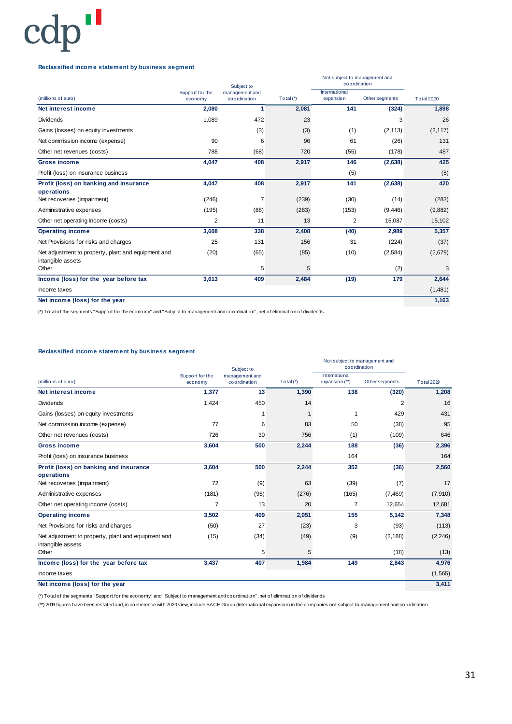**Reclassified income statement by business segment**

|                                                                          |                            | Subject to                     |           | Not subject to management and<br>coordination |                |                   |
|--------------------------------------------------------------------------|----------------------------|--------------------------------|-----------|-----------------------------------------------|----------------|-------------------|
| (millions of euro)                                                       | Support for the<br>economy | management and<br>coordination | Total (*) | International<br>expansion                    | Other segments | <b>Total 2020</b> |
| Net interest income                                                      | 2,080                      | 1                              | 2,081     | 141                                           | (324)          | 1,898             |
| <b>Dividends</b>                                                         | 1,089                      | 472                            | 23        |                                               | 3              | 26                |
| Gains (losses) on equity investments                                     |                            | (3)                            | (3)       | (1)                                           | (2, 113)       | (2, 117)          |
| Net commission income (expense)                                          | 90                         | 6                              | 96        | 61                                            | (26)           | 131               |
| Other net revenues (costs)                                               | 788                        | (68)                           | 720       | (55)                                          | (178)          | 487               |
| <b>Gross income</b>                                                      | 4,047                      | 408                            | 2,917     | 146                                           | (2,638)        | 425               |
| Profit (loss) on insurance business                                      |                            |                                |           | (5)                                           |                | (5)               |
| Profit (loss) on banking and insurance<br>operations                     | 4,047                      | 408                            | 2,917     | 141                                           | (2,638)        | 420               |
| Net recoveries (impairment)                                              | (246)                      | 7                              | (239)     | (30)                                          | (14)           | (283)             |
| Administrative expenses                                                  | (195)                      | (88)                           | (283)     | (153)                                         | (9, 446)       | (9,882)           |
| Other net operating income (costs)                                       | 2                          | 11                             | 13        | $\overline{2}$                                | 15,087         | 15,102            |
| <b>Operating income</b>                                                  | 3,608                      | 338                            | 2,408     | (40)                                          | 2,989          | 5,357             |
| Net Provisions for risks and charges                                     | 25                         | 131                            | 156       | 31                                            | (224)          | (37)              |
| Net adjustment to property, plant and equipment and<br>intangible assets | (20)                       | (65)                           | (85)      | (10)                                          | (2, 584)       | (2,679)           |
| Other                                                                    |                            | 5                              | 5         |                                               | (2)            | 3                 |
| Income (loss) for the year before tax                                    | 3,613                      | 409                            | 2,484     | (19)                                          | 179            | 2,644             |
| Income taxes                                                             |                            |                                |           |                                               |                | (1,481)           |
| Net income (loss) for the year                                           |                            |                                |           |                                               |                | 1,163             |

(\*) Total of the segments "Support for the economy" and "Subject to management and coordination", net of elimination of dividends

#### **Reclassified income statement by business segment**

|                                                                          |                            | Subject to                     |           | Not subject to management and<br>coordination |                |                   |
|--------------------------------------------------------------------------|----------------------------|--------------------------------|-----------|-----------------------------------------------|----------------|-------------------|
| (millions of euro)                                                       | Support for the<br>economy | management and<br>coordination | Total (*) | International<br>expansion (**)               | Other segments | <b>Total 2019</b> |
| Net interest income                                                      | 1,377                      | 13                             | 1,390     | 138                                           | (320)          | 1,208             |
| <b>Dividends</b>                                                         | 1,424                      | 450                            | 14        |                                               | 2              | 16                |
| Gains (losses) on equity investments                                     |                            | 1                              |           | 1                                             | 429            | 431               |
| Net commission income (expense)                                          | 77                         | 6                              | 83        | 50                                            | (38)           | 95                |
| Other net revenues (costs)                                               | 726                        | 30                             | 756       | (1)                                           | (109)          | 646               |
| <b>Gross income</b>                                                      | 3,604                      | 500                            | 2,244     | 188                                           | (36)           | 2,396             |
| Profit (loss) on insurance business                                      |                            |                                |           | 164                                           |                | 164               |
| Profit (loss) on banking and insurance<br>operations                     | 3,604                      | 500                            | 2,244     | 352                                           | (36)           | 2,560             |
| Net recoveries (impairment)                                              | 72                         | (9)                            | 63        | (39)                                          | (7)            | 17                |
| Administrative expenses                                                  | (181)                      | (95)                           | (276)     | (165)                                         | (7, 469)       | (7,910)           |
| Other net operating income (costs)                                       | 7                          | 13                             | 20        | 7                                             | 12,654         | 12,681            |
| <b>Operating income</b>                                                  | 3,502                      | 409                            | 2,051     | 155                                           | 5,142          | 7,348             |
| Net Provisions for risks and charges                                     | (50)                       | 27                             | (23)      | 3                                             | (93)           | (113)             |
| Net adjustment to property, plant and equipment and<br>intangible assets | (15)                       | (34)                           | (49)      | (9)                                           | (2, 188)       | (2, 246)          |
| Other                                                                    |                            | 5                              | 5         |                                               | (18)           | (13)              |
| Income (loss) for the year before tax                                    | 3,437                      | 407                            | 1,984     | 149                                           | 2,843          | 4,976             |
| Income taxes                                                             |                            |                                |           |                                               |                | (1, 565)          |
| Net income (loss) for the year                                           |                            |                                |           |                                               |                | 3,411             |

(\*) Total of the segments "Support for the economy" and "Subject to management and coordination", net of elimination of dividends

(\*\*) 2019 figures have been restated and, in coeherence with 2020 view, include SACE Group (International expansion) in the companies not subject to management and coordination.